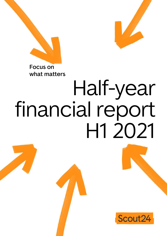

**what matters**



# Half-year financial report H1 2021

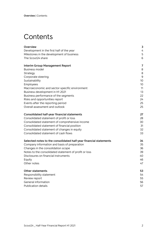# <span id="page-1-0"></span>**Contents**

| Overview                                                          | 3  |
|-------------------------------------------------------------------|----|
| Development in the first half of the year                         | 4  |
| Milestones in the development of business                         | 5  |
| The Scout24 share                                                 | 6  |
| <b>Interim Group Management Report</b>                            | 7  |
| <b>Business model</b>                                             | 8  |
| Strategy                                                          | 8  |
| Corporate steering                                                | 9  |
| Sustainability                                                    | 10 |
| Employees                                                         | 10 |
| Macroeconomic and sector-specific environment                     | 11 |
| Business development in H1 2021                                   | 13 |
| Business performance of the segments                              | 22 |
| Risks and opportunities report                                    | 24 |
| Events after the reporting period                                 | 25 |
| Overall assessment and outlook                                    | 25 |
| Consolidated half-year financial statements                       | 27 |
| Consolidated statement of profit or loss                          | 28 |
| Consolidated statement of comprehensive income                    | 30 |
| Consolidated statement of financial position                      | 31 |
| Consolidated statement of changes in equity                       | 32 |
| Consolidated statement of cash flows                              | 33 |
| Selected notes to the consolidated half-year financial statements | 34 |
| Company information and basis of preparation                      | 35 |
| Changes in the consolidation scope                                | 36 |
| Notes to the consolidated statement of profit or loss             | 39 |
| Disclosures on financial instruments                              | 40 |
| Equity                                                            | 46 |
| Other notes                                                       | 47 |
| <b>Other statements</b>                                           | 53 |
| Responsibility statement                                          | 54 |
| Review report                                                     | 55 |
| General information                                               | 56 |
| <b>Publication details</b>                                        | 57 |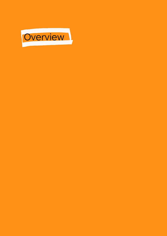<span id="page-2-0"></span>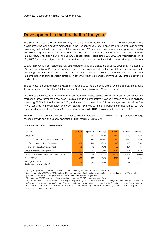# <span id="page-3-0"></span>**Development in the first half of the year**

The Scout24 Group revenue grew strongly by nearly 10% in the first half of 2021. The main drivers of this development were the positive momentum in the Residential Real Estate business (around 14% year-on-year revenue growth in the first six months of the year; around 19% quarter on quarter) and a strong second quarter with revenue growth of around 14% compared to a weak Q2 2020 impacted by the Covid-19 pandemic. immoverkauf24 has been part of the Scout24 consolidation scope since July 2020 and Vermietet.de since May 2021. The financial figures for these acquisitions are therefore not included in the previous year's figures.

Growth in revenue from residential real estate partners has also picked up since Q2 2021, as is reflected in a 9% increase in Q2 ARPU. This, in combination with the strong growth of the mandate acquisition products (including the immoverkauf.24 business) and the Consumer Plus products, underscores the consistent implementation of our ecosystem strategy, in other words, the expansion of ImmoScout24 into a networked marketplace.

The Business Real Estate segment was slightly down due to the pandemic, with a revenue decrease of around 1%; while revenue in the Media & Other segment increased by roughly 1% year on year.

In a bid to anticipate future growth, ordinary operating costs, particularly in the areas of personnel and marketing, grew faster than revenues. This resulted in a comparatively slower increase of 4.5% in ordinary operating EBITDA in the first half of 2021, and a margin that was down 2.9 percentage points to 58.1%. The newly acquired immoverkauf24 and Vermietet.de have yet to make a positive contribution to EBITDA. Excluding the acquisitions (organic), the ordinary operating EBITDA margin would have been 60.1%.

For the 2021 financial year, the Management Board confirms its forecast of mid to high single-digit percentage revenue growth and an ordinary operating EBITDA margin of up to 60%.

| <b>EUR millions</b>                                               | Q2 2021 <sup>1</sup> | Q2 2020 <sup>1</sup> | Change    | H1 2021 <sup>1</sup> | H1 2020 <sup>1</sup> | Change    |
|-------------------------------------------------------------------|----------------------|----------------------|-----------|----------------------|----------------------|-----------|
| Group revenue                                                     | 95.9                 | 83.9                 | $+14.4%$  | 189.7                | 173.0                | $+9.7%$   |
| of which Residential Real Estate segment                          | 71.2                 | 59.9                 | $+19.0%$  | 140.0                | 123.2                | +13.6%    |
| of which Business Real Estate segment                             | 17.0                 | 16.6                 | $+24%$    | 34.3                 | 34.6                 | $-0.8%$   |
| of which Media & Other segment                                    | 7.6                  | 7.3                  | $+4.2%$   | 15.2                 | 15.1                 | $+1.1%$   |
| Group ordinary operating EBITDA <sup>2</sup>                      | 55.2                 | 50.3                 | $+9.6%$   | 110.2                | 105.4                | $+4.5%$   |
| Group ordinary operating EBITDA margin <sup>3</sup> in %          | 57.5%                | 60.0%                | $-2.5$ pp | 58.1%                | 61.0%                | $-2.9$ pp |
| Group EBITDA                                                      | 49.0                 | 43.8                 | $+11.8%$  | 101.3                | 96.4                 | $+5.1%$   |
| Earnings per share<br>(basic, continuing operations) <sup>4</sup> | 0.25                 | 0.19                 | $+31.6%$  | 0.50                 | 0.44                 | $+13.6%$  |

#### **FINANCIAL PERFORMANCE INDICATORS**

.

<sup>1</sup> The figures presented in this table relate only to the continuing operations of the Scout24 Group.

<sup>2</sup> Ordinary operating EBITDA is EBITDA adjusted for non-operating effects, mainly expenses for share-based payments, M&A activities (realised and unrealised), reorganisation measures and other non-operating effects.

The operating EBITDA margin is defined as ordinary operating EBITDA as a percentage of revenue.

<sup>4</sup> The previous year's value was adjusted accordingly. The previous year's financial result from continuing operations takes into account an effect stemming from the reclassification of certain securities of the special fund, see note 4 to the financial statements. Accordingly, the reclassification for the first half of 2020 also resulted in an effect on earnings after tax from continuing operations and earnings per share from continuing operations.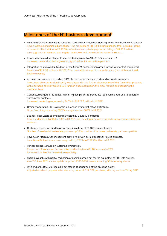## <span id="page-4-0"></span>**Milestones of the H1 business development**

- Shift towards high-growth and recurring revenue continued contributing to the market network strategy. Revenue from consumer subscriptions (Plus products) at EUR 25.1 million exceeds total individual listing revenue for the first time in H1 2021 (professional and private pay-per-ad listings: EUR 23.2 million). Strong growth in "Realtor Lead Engine" revenue of 162.2% to EUR 15.7 million in H1 2021.
- Revenue with residential agents accelerated again with a 9% ARPU increase in Q2. Increased demand and willingness to pay of residential real estate partners.
- Integration of immoverkauf24 (part of the Scout24 consolidation group for twelve months) completed. Revenue of EUR 5.2 million in H1 2021 from commission-based home seller leads (part of Realtor Lead Engine revenue).
- Acquired Vermietet.de, a leading CRM platform for private landlords and property managers. Investment allows us to significantly leap ahead with the further development of the TenantPlus product; with operating costs of around EUR 1 million since acquisition, the initial focus is on expanding the customer base.
- Conducted targeted residential marketing campaigns to penetrate regional markets and to generate homeowner contacts. Increased marketing expenses by 34.0% to EUR 17.8 million in H1 2021.
- Ordinary operating EBITDA margin influenced by market network strategy. Group's ordinary operating EBITDA margin reaches 58.1% in H1 2021.
- Business Real Estate segment still affected by Covid-19 pandemic. Revenue declines slightly by 0.8% in H1 2021, with developer business outperforming commercial agent business.
- Customer base continued to grow, reaching a total of 20,488 core customers. Number of residential real estate partners up 3.8%, number of business real estate partners up 0.9%.
- Revenue in Media & Other segment grew 1.1% driven by ImmoScout24 Austria business. ImmoScout24 Austria saw revenue growth by 25.2% to EUR 5.9 million in H1 2021.
- Further progress made on sustainability strategy. Proportion of women on the executive leadership team (ELT) increases to 29%. Entire vehicle fleet is converted to e-mobility.
- Share buybacks with partial reduction of capital carried out for the equivalent of EUR 994.2 million. As of 30 June 2021, share capital comprised 92,100,000 shares, including 9.3% treasury shares.
- Dividend of EUR 68.5 million paid out stands at upper end of the dividend policy. Adjusted dividend proposal after share buybacks of EUR 0.82 per share, with payment on 13 July 2021.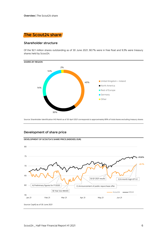<span id="page-5-0"></span>

#### **Shareholder structure**

Of the 92.1 million shares outstanding as of 30 June 2021, 90.7% were in free float and 9.3% were treasury shares held by Scout24.



Source: Shareholder identification IHS Markit as of 30 April 2021 corresponds to approximately 89% of total shares excluding treasury shares

#### **Development of share price**

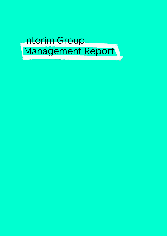<span id="page-6-0"></span>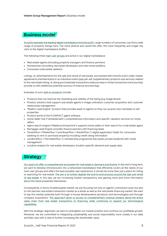# <span id="page-7-0"></span>**Business model**

Scout24 operates the leading digital marketplace ImmoScout24. Large numbers of consumers can find a wide range of property listings here. The more diverse and varied the offer, the more frequently and longer the visits to the digital marketplace (traffic).

The following three main user groups are active in our digital marketplace:

- Real estate agents (including property managers and finance partners)
- Homeowners (including real estate developers and new home builders)
- Consumers (real estate seekers)

Listings, i.e. advertisements for the sale and rental of real estate, are booked with ImmoScout24 under master agreements (memberships) or as individual orders (pay per ad). Supplementary products and services related to the real estate listing, i.e. along purchase/sale transactions (sale journey) or rental transactions (rent journey), provide us with additional potential sources of revenue and earnings.

Examples of such add-on products include:

- Products that can improve the marketing and visibility of the listing (e.g. Image Boost)
- Product solutions that support real estate agents in image cultivation, customer acquisition and customer relationship management
- "Realtor Lead Engine": product that provides leads to agents so they can acquire new mandates to sell properties
- Product world of the FLOWFACT agent software
- Home Seller Hub ("Verkäuferwelt"): comprehensive information and specific valuation services for home sellers
- Agent search engine ("Maklersuchmaschine"): supports home sellers in their search for a real estate agent
- Mortgage Lead Engine: provides finance partners with financing leads
- TenantPlus+ ("MieterPlus+") and BuyerPlus+ ("KäuferPlus+"): digital application folder for consumers (seeking to rent or purchase property) including credit rating information
- LandlordPlus+ ("VermieterPlus+"): membership programme that assists private landlords with rental management
- Location analysis for real estate developers: location-specific demand and supply data

# <span id="page-7-1"></span>**Strategy**

Our goal is to offer a comprehensive ecosystem for real estate in Germany and Austria. In the mid to long term, we want to develop ImmoScout24 into a networked marketplace that efficiently covers all the needs of our main user groups and offers the best possible user experience. It should be more than just a place for listing or searching for real estate. The aim is to further digitise the end-to-end process around the sale and rental of real estate. In this way, we are increasing market transparency and gaining more and more information about the listed properties themselves.

Consequently, in terms of addressable market, we are focusing not only on agents' commission pool, but also on the German real estate transaction market as a whole as well as the real estate financing market. We want to tap this market potential both through in-house developments (products and technologies) and through company acquisitions. This approach gives us access to complementary revenue streams along the entire value chain from real estate transactions to financing, while continuing to expand our technological capabilities.

With this strategic alignment, we want to strengthen our market position and continue our profitable growth. Moreover, we are committed to integrating sustainability and social responsibility more closely in our daily activities, also with a view to further increasing the shareholder value.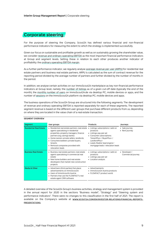# <span id="page-8-0"></span>**Corporate steering**

For the purpose of steering the Company, Scout24 has defined various financial and non-financial performance indicators for measuring the extent to which the strategy is implemented successfully.

Given our focus on sustainable and profitable growth as well as on sustainably growing the shareholder value, we consider revenue and ordinary operating EBITDA as the most important financial performance indicators at Group and segment levels. Setting these in relation to each other produces another indicator of profitability: the ordinary operating EBITDA margin.

As a further performance indicator, we regularly analyse average revenue per user (ARPU) for residential real estate partners and business real estate partners. ARPU is calculated as the sum of contract revenue for the reporting period divided by the average number of partners and further divided by the number of months in the period.

In addition, we analyse certain activities on our ImmoScout24 marketplace as key non-financial performance indicators at Group level, namely: the number of listings as of a given cut-off date (typically the end of the month), the monthly number of users on ImmoScout24.de via desktop PC, mobile devices or apps, and the number of sessions on the ImmoScout24 platform via desktop PC, mobile devices and apps.

The business operations of the Scout24 Group are structured into the following segments. The development of revenue and ordinary operating EBITDA is reported separately for each of these segments. The reported segment revenue is based on the different user groups that purchase different products from us, depending on where they are located in the value chain of a real estate transaction.

| Segment                        | User groups                                                                                                                                                                                                                                                                                                               | Products                                                                                                                                                                                                                  | Journeys                            |
|--------------------------------|---------------------------------------------------------------------------------------------------------------------------------------------------------------------------------------------------------------------------------------------------------------------------------------------------------------------------|---------------------------------------------------------------------------------------------------------------------------------------------------------------------------------------------------------------------------|-------------------------------------|
| <b>Residential Real Estate</b> | • Residential real estate partners: real estate<br>agents specialising in residential<br>properties, property managers, finance<br>partners (e.g. savings banks)<br>• Home owners: private sellers, landlords<br>• Consumers/seekers: private buyers,<br>tenants<br>• Removal companies provided with<br>relocation leads | Listings: subscriptions / add-on<br>products<br>• Listings: pay-per-ad<br>• Consumer subscriptions:<br>TenantPlus+ / BuyerPlus+ /<br>LandlordPlus+<br>• Leads: Realtor lead engine /<br>mortgage leads / relocation leads | • Sale journey<br>• Rent journey    |
| <b>Business Real Estate</b>    | • Business real estate partners: real estate<br>agents specialising in commercial real<br>estate<br>• New home builders and real estate<br>developers that market new construction<br>projects                                                                                                                            | • Listings: subscriptions / add-on<br>products<br>• Listings: pay-per-ad<br>• Location analysis                                                                                                                           | • Developer /<br>Commercial journey |
| <b>Media &amp; Other</b>       | • Advertisers (third parties) that place<br>advertisements on ImmoScout24<br>• Users of ImmoScout24 Austria<br>• Partners that use the FLOWFACT's real<br>estate agent CRM software                                                                                                                                       | • Advertisements<br>• ImmoScout24 Austria products<br>• FLOWFACT product world                                                                                                                                            |                                     |

#### **SEGMENT OVERVIEW**

A detailed overview of the Scout24 Group's business activities, strategy and management system is provided in the annual report for 2020 in the sections "Business model", "Strategy" and "Steering system and performance indicators". There were no changes to this classification in the first half of 2021. The report is available on the Company's website at **[WWW.SCOUT24.COM/EN/INVESTOR-RELATIONS/FINANCIAL-REPORTS-](https://www.scout24.com/en/investor-relations/financial-reports-presentations)[PRESENTATIONS](https://www.scout24.com/en/investor-relations/financial-reports-presentations)**.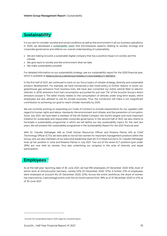# <span id="page-9-0"></span>**Sustainability**

It is our aim to consider societal and social conditions as well as the environment in all our business operations. In 2020, we developed a sustainability vision that encompasses aspects relating to society, ecology and corporate governance and reflects our overall understanding of sustainability:

- We are making Scout24 a sustainable digital company that has a positive impact on society and the climate.
- We give back to society and the environment what we take.
- We make sustainability possible.

For detailed information on our sustainability strategy, see our sustainability report for the 2020 financial year, which is available at **[WWW.SCOUT24.COM/EN/SUSTAINABILITY/SUSTAINABILITY-REPORTS](https://www.scout24.com/en/sustainability/sustainability-reports)**.

In the first half of 2021, we continued to work on our focus topics of climate strategy, diversity and sustainable product development. For example, we have introduced a new travel policy to further reduce, or avoid, our greenhouse gas emissions from business trips. We have also converted our entire vehicle fleet to electric vehicles. In 2019, emissions from fuel consumption accounted for just over 7%<sup>1</sup> of the Scout24 Group's direct emissions (scope 1). The latter mostly relates to the consumption of vehicles under long-term leases, which employees are also allowed to use for private purposes. Thus, the conversion will make a not insignificant contribution to achieving our goal to reach climate neutrality by 2025.

We are currently working on expanding our Code of Conduct to include requirements for our suppliers with regard to human rights and labour standards, the environment and climate, and the prevention of corruption. Since July 2021, we have been a member of the UN Global Compact, the world's largest and most important initiative for sustainable and responsible corporate governance. In the second half of 2021, we also intend to formulate a sustainability programme in which we will define our key sustainability topics for the next two years. We will present the sustainability programme in the Sustainability Report for the 2021 financial year.

With Dr. Claudia Viehweger (46) as Chief Human Resources Officer and Rowena Patrao (45) as Chief Technology Officer (CTO), we were able to recruit two women for important management positions within the Group, who are also members of our executive leadership team (ELT) in these functions. Dr. Claudia Viehweger took up her position in June and Rowena Patrao in July 2021. Two out of the seven ELT positions (just under 29%) are now held by women, thus also underlining our progress in the area of diversity and equal participation.

# <span id="page-9-1"></span>**Employees**

As at the half-year reporting date of 30 June 2021, we had 916 employees (31 December 2020: 835), most of whom work at ImmoScout24 Germany, namely 52% (31 December 2020: 57%). A further 21% of employees were employed at Scout24 AG (31 December 2020: 22%). Across the entire workforce, the share of women has improved by 2 percentage points over the six-month period from 39% as of 31 December 2020 to 41% as of 30 June 2021.

<sup>1</sup> Scout24 AG Sustainability Report 2020, page 63; unaudited figure.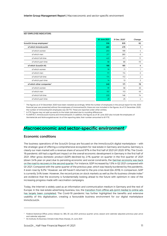#### **KEY EMPLOYEE INDICATORS**

|                                       | 30 June 2021 | 31 Dec. 2020 <sup>1</sup> | Change         |
|---------------------------------------|--------------|---------------------------|----------------|
| Scout24 Group employees <sup>2</sup>  | 916          | 835                       | 82             |
| of which ImmoScout24                  | 480          | 479                       | 1              |
| of which women                        | 203          | 199                       | 4              |
| of which men                          | 277          | 280                       | $-3$           |
| of which full-time                    | 422          | 411                       | 11             |
| of which part-time                    | 58           | 68                        | $-10$          |
| of which Scout24 AG                   | 188          | 185                       | 4              |
| of which women                        | 78           | 71                        | 7              |
| of which men                          | 111          | 114                       | $-3$           |
| of which full-time                    | 174          | 172                       | 2              |
| of which part-time                    | 14           | 13                        | $\overline{2}$ |
| of which other companies <sup>3</sup> | 249          | 171                       | 78             |
| of which women                        | 91           | 58                        | 33             |
| of which men                          | 157          | 113                       | 45             |
| of which full-time                    | 220          | 146                       | 74             |
| of which part-time                    | 29           | 25                        | 4              |

<sup>1</sup> The figures as of 31 December 2020 have been restated accordingly. While the number of employees in the annual report for the 2020 financial year was presented without the employees of immoverkauf24, these are now included in the figures. As of 31 December 2020, the number of immoverkauf24 employees was 46 FTE. These are reported under other entities.

<sup>2</sup> In FTE; figures may not add up exactly to the totals indicated due to rounding differences.

<sup>3</sup> FLOWFACT, ImmoScout24 Austria and immoverkauf24. In addition, the figures as of 30 June 2021 also include the employees of Vermietet.de and Wohnungsbörse.net. As of the reporting date, their number amounted to 61 FTE.

# <span id="page-10-0"></span>**Macroeconomic and sector-specific environment**

#### **Economic conditions**

The business operations of the Scout24 Group are focused on the ImmoScout24 digital marketplace – with the strategic goal of offering a comprehensive ecosystem for real estate in Germany and Austria. Germany is clearly our main market with a revenue share of around 97% in the first half of 2021 (H1 2020: 97%). The Covid-19 pandemic still had a significant impact on the overall economic development in Germany in the first half of 2021. After gross domestic product (GDP) declined by 2.1% quarter on quarter in the first quarter of 2021 (down 3.4% year on year) due to persisting economic and social constraints, the German economy was back on the road to recovery in the second quarter. For instance, GDP increased by 1.5% in Q2 2021 compared with Q1 2021. Compared with the same quarter of the previous year, which was heavily burdened by the pandemic, it even rose by 9.2%.<sup>2</sup> However, we still haven't returned to the pre-crisis level (Q4 2019). In comparison, GDP is currently 3.4% lower. However, the record prices on stock markets as well as the ifo business climate index $3$ are evidence that the economy is fundamentally looking ahead to the future with optimism in view of the increasing progress made with vaccination campaigns.

Today, the Internet is widely used as an information and communication medium in Germany and the rest of Europe. In the real estate advertising business, too, the transition from offline ads (print media) to online ads has largely been completed. The Covid-19 pandemic has further highlighted the benefits and extensive usability of this digitalisation, creating a favourable business environment for our digital marketplace ImmoScout24.

<sup>&</sup>lt;sup>2</sup> Federal Statistical Office, press release no. 365, 30 July 2021; previous quarter: price, season and calendar adjusted; previous year: price and calendar adjusted

<sup>&</sup>lt;sup>3</sup> ifo Institute, ifo Business Climate Index Rises Sharply, 24 June 2021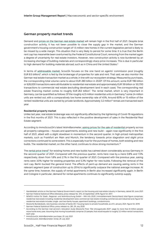#### **German property market trends**

Demand and prices on the German real estate market will remain high in the first half of 2021. Despite brisk construction activity, it has not been possible to close the supply gap in the market, and the German government's housing construction target of 1.5 million new homes in the current legislative period is likely to be missed by a wide margin. This situation that is very likely to persist for some time. It is true that the Berlin rent cap has meanwhile been overturned by the Federal Constitutional Court, removing from the market again a degree of uncertainty for real estate investors. However, new construction activity is now burdened by an increasing shortage of building materials and correspondingly sharp price increases. This is due in particular to high demand for building materials abroad, such as in China and the United States.<sup>4</sup>

In terms of addressable market, Scout24 focuses on the one hand on agents' commission pool (roughly EUR 8.5 billion)<sup>5</sup>, which is fed by the brokerage of properties for sale and rent. That said, we also monitor the German real estate transaction market as a whole, in line with our ecosystem strategy. Measured by purchases, the corresponding total volume came to about EUR 280 billion in 2020<sup>6</sup>. Of this amount, some EUR 196 billion or 626,000 transactions were attributable to residential real estate and approximately EUR 59 billion or 50,700 transactions to commercial real estate (excluding development land in each case). The corresponding real estate financing market comes to roughly EUR 263 billion<sup>7</sup>. The rental market, which is very important in Germany, can be quantified as follows: Of the roughly 42.5 million residential units in Germany, $^8$  some 24 million units are rented out, with a comparatively low home ownership rate of 45%. Around 60% or 15 million of the rented residential units are owned by private landlords. Approximately 3.2 million<sup>9</sup> rentals are transacted each year.

#### **Residential property market**

Unlike last year, real estate brokerage was not significantly affected by the tightening of Covid-19 regulations in the first months of 2021. This is also reflected in the positive development of sales in the Residential Real Estate segment.

According to ImmoScout24's latest WohnBarometer, asking prices for the sale of residential property across all property categories – houses and apartments, existing and new build – again rose significantly in the first half of 2021, albeit with a slight slowdown in momentum in the second quarter. In high-priced metropolitan markets, such as Frankfurt am Main and Munich, the tendency towards price stagnation and slight price corrections continued to some extent. This is especially true for the purchase of homes, both existing and new builds. The residential market, on the other hand, continues to show strong momentum.<sup>10</sup>

The rental price trend<sup>11</sup> for existing homes and new builds has calmed down considerably across Germany in the second quarter of 2021. Compared with the previous quarter, rents here rose by a mere 0.8% and 1.5% respectively, down from 1.8% and 2.1% in the first quarter of 2021. Compared with the previous year, asking rents were 3.0% higher for existing properties and 5.3% higher for new builds. Following the removal of the rent cap, Berlin bucked the general trend. The effects of pent-up demand are causing asking rents in the relevant segment (year of construction up to 2014) to significantly outpace the national average increase. At the same time, however, the supply of rental apartments in Berlin also increased significantly again. In Berlin and Cologne in particular, demand for rental apartments continues to significantly outstrip supply.

<sup>4</sup> Handelsblatt article on the German Federal Government's report on the housing and real estate industry in Germany, dated 30 June 2021

<sup>5</sup> German Federal Statistical Office (Destatis), press release No. 370, 23 September 2019, figure for 2017.

<sup>6</sup> GEWOS Institut für Stadt-, Regional- und Wohnforschung GmbH – IMA info 2020 | Immobilienmarkt Deutschland; total figure comprises: residential real estate including residential development land, commercial real estate including commercial and industrial land; figure for residential real estate includes: single- and two-family houses, apartment buildings, condominiums.

<sup>7</sup> Deutsche Bundesbank, new business volumes of banks DE / housing loans to private households, as of 6 January 2021, figure for 2019.

<sup>8</sup> German Federal Statistical Office, press release no. 281, 29 July 2020

<sup>9</sup> According to the German mail service's relocation study (Deutsche Post, "Die Umzugsstudie 2021", page 3), more than 8 million people move home every year. Assuming that moving households comprise 2.5 people, that would equate to roughly 3.2 million rental transactions each year.

<sup>10</sup> ImmoScout24, WohnBarometer purchase, 20 July 2021

<sup>11</sup> ImmoScout24, WohnBarometer rental, 29 July 2021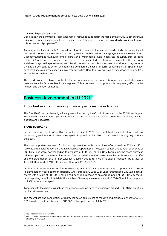#### **Commercial property market**

Conditions in the commercial real estate market remained subdued in the first months of 2021. Both purchase prices and rental prices for new leases declined here. Office properties again proved to be significantly more robust than retail properties.<sup>12</sup>

An analysis by ImmoScout24<sup>13</sup> of retail and logistics space in the second quarter indicates a significant recovery in demand in these areas, particularly in what are referred to as category-A cities. But even in B and C locations, demand has now returned to pre-Covid-19 pandemic levels. In contrast, the supply of retail space fell by 14% year on year. However, many providers are expected to return to the market as the economy stabilises. Large retail spaces were particularly in demand, especially in the areas of food retail, drugstores or DIY and garden centres. Driven by booming e-commerce, demand for corresponding logistics space, known as micro-hubs, also grew, especially in A-category cities. Here too, however, supply was down, falling by 19%, as is reflected in rising rents.

The trends toward declining supply of retail and logistics space described above are also manifested in our revenue from the Business Real Estate segment. This is because it has a potentially dampening effect on the number and duration of listings.

# <span id="page-12-0"></span>**Business development in H1 2021**

#### **Important events influencing financial performance indicators**

The Scout24 Group has been significantly less influenced by the Covid-19 pandemic in the 2021 financial year. The following events had a particular impact on the development of our results of operations, financial position and net assets.

#### **SHARE BUYBACKS**

In the course of the AutoScout24 transaction in March 2020, we established a capital return roadmap. Accordingly, we intended to distribute capital of up to EUR 1.69 billion to our shareholders by way of share buybacks.

The most important element of this roadmap was the public repurchase offer issued on 30 March 2021, followed by a capital reduction, through which we repurchased 11,400,875 Scout24 shares at an offer price of EUR 69.66 per share, corresponding to a volume of EUR 794.2 million. On 23 April 2021, the share purchase price was paid and the transaction settled. The cancellation of the shares from the public repurchase offer and the cancellation of a further 2,199,125 treasury shares resulted in a capital reduction by a total of 13,600,000 shares to 92,100,000 shares, effective 28/29 April 2021.

On 23 April 2021, we announced further share buybacks in a tranche with a volume of up to EUR 200 million. Implementation was limited to the period 26 April through 30 June 2021. Under this tranche, 2,921,878 Scout24 shares with a value of EUR 200.0 million had been repurchased at an average price of EUR 68.45 by the 30 June reporting date. As of that date, the number of treasury shares amounted to 8,586,462, which corresponds to 9.3% of the share capital.

Together with the share buybacks in the previous year, we have thus achieved around EUR 1.48 billion of our capital return roadmap.

The repurchase and cancellation of shares led to an adjustment of the dividend proposal per share to EUR 0.82 based on the total dividend of EUR 68.5 million (paid out on 13 July 2021).

<sup>&</sup>lt;sup>12</sup> vdp Property Price Index Q1 2021

<sup>13</sup> ImmoScout24, "Was kommt, wenn Corona geht: Nachfrage nach Einzelhandelsflächen zieht wieder an, Mikro-Hubs in A-Städten besonders attraktiv," 21 May 2021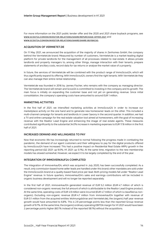For more information on the 2021 public tender offer and the 2020 and 2021 share buyback programs, see **[WWW.SCOUT24.COM/EN/INVESTOR-RELATIONS/SHARE/REPURCHASE-OFFER-2021](https://www.scout24.com/en/investor-relations/share/repurchase-offer-2021)** and **[WWW.SCOUT24.COM/EN/INVESTOR-RELATIONS/SHARE/SHARE-BUYBACKS](http://www.scout24.com/en/investor-relations/share/share-buybacks)**.

#### **ACQUISITION OF VERMIETET.DE**

On 11 May 2021, we announced the acquisition of the majority of shares in Zenhomes GmbH, the company behind the Vermietet.de brand. Measured by number of customers, Vermietet.de is a market-leading digital platform for private landlords for the management of all processes related to real estate. It allows private landlords and property managers to, among other things, manage interaction with their tenants, prepare statements of ancillary costs, record data for tax returns or analyse the market value of a property.

In future, the services of Vermietet.de will be combined with the product range of ImmoScout24, which will thus significantly expand its offering. With ImmoScout24, owners find the right tenants. With Vermietet.de they can also manage their entire rental relationship.

Vermietet.de was founded in 2016 by Jannes Fischer, who remains with the company as managing director. The Vermietet.de brand will remain and Scout24 is committed to investing in the company and its growth. The main focus is initially on expanding the customer base and not yet on generating revenue. Since initial consolidation, the company's operating costs have amounted to around EUR 1 million.

#### **MARKETING ACTIVITIES**

In the first half of 2021, we intensified marketing activities at ImmoScout24 in order to increase our marketplace activity on the one hand and to generate new homeowner leads on the other. This included a multi-channel campaign for tenants and landlords in Lower Saxony in the second quarter. In addition, we had a TV and online campaign for the real estate valuation tool aimed at homeowners, with the goal of increasing revenue with the Realtor Lead Engine and enhancing the image of real estate agents. These measures contributed significantly to the substantial 34.0% increase in marketing expenses to EUR 17.8 million in the first half of 2021.

#### **INCREASED DEMAND AND WILLINGNESS TO PAY**

Now that economic life has increasingly returned to normal following the progress made in combating the pandemic, the demand of our agent customers and their willingness to pay for the digital products offered by ImmoScout24 have increased. This had a positive impact on Residential Real Estate ARPU growth in the reporting period (Q2 2021: up 9.0%; H1 2021: up 5.1%). At the same time, migration to the new membership models has slowed somewhat. However, we expect it to be largely completed by the end of the year.

#### **INTEGRATION OF IMMOVERKAUF24 COMPLETED**

The integration of immoverkauf24, which was acquired in July 2020, has been successfully completed. As a result, only commission-based home seller leads are handled under this brand; other mandates are sold under the ImmoScout24 brand at a quality-based fixed price per lead. Both pricing models fall under "Realtor Lead Engine" revenue. In future quarters, immoverkauf24's sales and earnings contributions will be included in organic business development and will no longer be reported separately.

In the first half of 2021, immoverkauf24 generated revenue of EUR 5.2 million (EUR 4.7 million of which is considered non-organic revenue), the full amount of which is attributable to the Realtor Lead Engine product. At the same time, operating costs of EUR 4.9 million were incurred (EUR 4.7 million of which is classified as nonorganic). Excluding non-organic revenue (EUR 4.7 million from immoverkauf24 together with revenue of EUR 0.1 million from the acquired entities Wohnungsbörse and Vermietet.de), the (organic) half year revenue growth would have amounted to 6.8%. This is 2.9 percentage points less than the reported Group revenue growth of 9.7%. At the same time, the (organic) ordinary operating EBITDA margin for H1 2021 would have been 2 percentage points higher (60.1% instead of the reported 58.1%) without the acquisitions.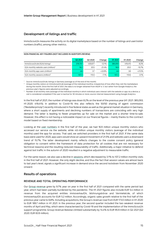#### **Development of listings and traffic**

ImmoScout24 measures the activity on its digital marketplace based on the number of listings and user/visitor numbers (traffic), among other metrics.

#### **NON-FINANCIAL KEY FIGURES (NOT INCLUDED IN AUDITOR'S REVIEW)**

|                                                   | Q2 2021 | Q <sub>2</sub> 20 <sub>20</sub> | Change   | H1 2021 | H <sub>1</sub> 2020 | Change   |
|---------------------------------------------------|---------|---------------------------------|----------|---------|---------------------|----------|
| ImmoScout24.de (IS24) listings <sup>1</sup>       | 378,707 | 430.677                         | $-12.1%$ | 385.093 | 419.415             | $-8.2\%$ |
| IS24 monthly website users (million) <sup>2</sup> | 16.2    | 20.5                            | $-21.4%$ | 16.9    | 20.0                | $-15.7%$ |
| IS24 monthly app users (million) <sup>2</sup>     | 4.6     | 3.7                             | $+22.8%$ | 4.6     | 3.8                 | $+21.5%$ |
| IS24 monthly sessions (million) $3$               | 107.3   | 115.5                           | $-7.1%$  | 107.2   | 110.6               | $-3.1%$  |

<sup>1</sup> Source: ImmoScout24.de; listings in Germany (average as of the end of the month)

<sup>2</sup> Unique monthly visitors on ImmoScout24.de (average of the individual months), irrespective of how often they visit the marketplace during the month. Since the first half of 2021, the data is no longer obtained from AGOF e. V. but rather from Google Analytics; the previous year's figures were adjusted accordingly.

<sup>3</sup> Number of all monthly visits (average of the individual months) in which individual users interact with the website or app via a device; a visit is considered completed if the user is inactive for 30 minutes or more; source: internal measurement using Google Analytics.

In the first half of 2021, the number of listings was down 8.2% on the level of the previous year (H1 2021: 385,093; H1 2020: 419,415). In addition to Covid-19, this also reflects the 50/50 sharing of agent commission ("Bestellerprinzip") recently introduced in five federal states as well as the general market situation in Germany, where a short supply of apartments and declining numbers of transactions are coinciding with very high demand. The latter is leading to fewer properties up for sale on the market and a shorter time-to-sale. However, this effect is not having a noticeable impact on our financial figures – mainly thanks to the contract model based on fixed membership.

Looking at the user numbers in the first half of the year, we had 16.9 million unique monthly visitors who accessed our service via the website, while 4.6 million unique monthly visitors (average of the individual months) used the app for access. That said, we switched providers in the first half of 2021. If the same data basis were used for 2020, app users would show an upward movement of 21.5% and website users a downward trend of 15.7%. The latter development mainly reflects changes to the cookie consent policy (general obligation to consent within the framework of data protection for all cookies that are not necessary for technical reasons) and the resulting reduced measurability of traffic. Additionally, a major initiative to defend against bot traffic in the autumn of 2020 resulted in a negative adjustment to measurable traffic.

For the same reason, we also saw a decline in sessions, which decreased by 3.1% to 107.2 million monthly visits in the first half of 2021. However, the only slight decline, and thus the fact that session values are almost back to last year's level, signals a significant increase in demand since the second lockdown from November 2020 onward.

#### **Results of operations**

#### **REVENUE AND TOTAL OPERATING PERFORMANCE**

Our Group revenue grew by 9.7% year on year in the first half of 2021 compared with the same period last year, which had been partially burdened by the pandemic. The H1 2021 figures also include EUR 5.4 million in revenue from the acquired entities immoverkauf24, Wohnungsbörse and Vermietet.de, of which Immoverkauf24 accounts for EUR 5.2 million. Accordingly, organic sales growth relative to the first half of the previous year came to 6.8%. Including acquisitions, the Group's revenue rose from EUR 173.0 million in H1 2020 to EUR 189.7 million in H1 2021. In the previous year, the second quarter included the two weakest revenue months of April and May, which were characterised by Covid-19 and the implementation of the ImmoScout24 support programme. Group revenue likewise climbed substantially by 14.4% to EUR 95.9 million in Q2 2021 (Q2 2020: EUR 83.9 million).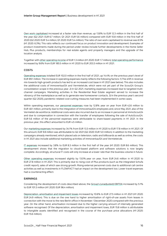Own work capitalised increased at a faster rate than revenue, up 13.8% to EUR 12.3 million in the first half of the year (Q2 2021: EUR 6.7 million; Q1 2021: EUR 5.6 million) compared with EUR 10.8 million in the first half of 2020 (Q2 2020: EUR 5.4 million; Q1 2020: EUR 5.4 million). The ratio of own work capitalised to revenue was 6.5% (H1 2020: 6.3%). This ratio reflects our continued focus on product innovation and development. Examples of product investments made during the period under review include further developments in the Home Seller Hub, Plus products, memberships for real estate agents and property managers and the upgrade of the location analysis.

Together with other operating income of EUR 1.3 million (H1 2020: EUR 1.7 million), total operating performance increased by 9.6% from EUR 185.5 million in H1 2020 to EUR 203.3 million in H1 2021.

#### **COSTS**

Operating expenses totalled EUR 102.0 million in the first half of 2021, up 14.4% on the previous year's level of EUR 89.1 million. The increase in operating expenses mainly reflects the following factors: 1) The shift in revenue mix towards high-growth products has led to an increased cost base in H1 2021 (see below). This also includes the additional costs of immoverkauf24 and Vermietet.de, which were not yet part of the Scout24 Group's consolidation scope in the previous year. 2) In Q2 2021, marketing expenses increased due to targeted multichannel campaigns. Marketing activities in the Residential Real Estate segment served to increase the vibrancy of the marketplace as well as to generate new homeowner contacts. 3) In the previous year's second quarter (Q2 2020), pandemic-related cost-cutting measures had been implemented in some cases.

Within operating expenses, our personnel expenses rose by 12.8% year on year from EUR 42.6 million to EUR 48.1 million, primarily due to the integration of immoverkauf24 employees and, since May 2021, also of the Vermietet-de workforce. Additional costs were also incurred due to an increase in personnel at ImmoScout24 and due to compensation in connection with the transfer of employees following the sale of AutoScout24. EUR 5.6 million of the personnel expenses were attributable to share-based payments in H1 2021. In the previous year, this effect amounted to EUR 4.5 million.

Our marketing expenses increased by 34.1% from EUR 13.3 million in H1 2020 to EUR 17.8 million in H1 2021. Of this amount, EUR 9.8 million was attributable to Q2 2021 (Q2 2020: EUR 5.0 million). In addition to the marketing campaigns already mentioned, which placed ads on television, radio and billboards as well as online, the costs in H1 2021 also include additional marketing activities of immoverkauf24 and Vermietet.de.

IT expenses increased by 3.8% to EUR 8.3 million in the first half of the year (H1 2020: EUR 8.6 million). This development shows that the migration to cloud-based platform and software solutions is now largely complete. Accordingly, structural IT costs will only increase at a lower rate than the business volume in future.

Other operating expenses increased slightly by 13.0% year on year, from EUR 24.6 million in H1 2020 to EUR 27.8 million in H1 2021. This is primarily due to rising cost of Plus products (such as the integrated Schufa credit report), sales of which saw strong growth. Rising external personnel costs due to additional call centre activities as well as investments in FLOWFACT had an impact on the development too. Lower travel expenses had a counteracting effect.

#### **EARNINGS**

Considering the development of costs described above, the Group's (unadjusted) EBITDA increased by 5.1% to EUR 101.3 million (H1 2020: EUR 96.4 million).

Depreciation, amortisation and impairment losses increased by 10.6% to EUR 27.5 million in H1 2021 (H1 2020: EUR 24.9 million). This is due on the one hand to higher amortisation of right-of-use assets from leases in connection with the move to the new Berlin office in November / December 2020 compared with the previous year. On the other hand, amortisation increased due to the higher carrying amount of internally generated software recognised. Of the depreciation, amortisation and impairment loses, EUR 15.8 million is attributable to intangible assets identified and recognised in the course of the purchase price allocations (H1 2020: EUR 15.6 million).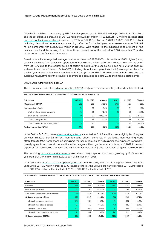With the financial result improving by EUR 2.2 million year on year to EUR -5.6 million (H1 2020: EUR -7.8 million,) and the tax expense increasing by EUR 3.5 million to EUR 21.4 million (H1 2020: EUR 17.9 million), earnings after tax from continuing operations increased by 2.0% to EUR 46.8 million in H1 2021 (H1 2020: EUR 45.9 million). Including discontinued operations, our earnings after tax for the half year under review came to EUR 46.7 million compared with EUR 2,305.2 million in H1 2020. With regard to the subsequent adjustment of the financial result and the earnings from discontinued operations for the first half of 2020, see notes 2.3. and 4. of the notes to the financial statements.

Based on a volume-weighted average number of shares of 92,866,950, this results in 13.6% higher (basic) earnings per share from continuing operations of EUR 0.50 in the first half of 2021 (H1 2020: EUR 0.44, adjusted from EUR 0.42 due to the reclassification of certain securities of the special fund, see note 4 to the financial statements; number of shares: 104,244,555). Including discontinued operations, (basic) earnings per share for the half year under review also amounted to EUR 0.50 (H1 2020: EUR 22.11, adjusted from EUR 22.06 due to a subsequent adjustment of the result of discontinued operations, see note 2.3. to the financial statements).

#### **ORDINARY OPERATING EBITDA**

The performance indicator ordinary operating EBITDA is adjusted for non-operating effects (see table below).

| EUR million                          | Q2 2021 | Q2 2020 | Change    | H1 2021 | H <sub>1</sub> 2020 | Change    |
|--------------------------------------|---------|---------|-----------|---------|---------------------|-----------|
| (Unadjusted) EBITDA                  | 49.0    | 43.8    | $+11.8%$  | 101.3   | 96.4                | $+5.1%$   |
| Non-operating effects <sup>1</sup>   | 6.2     | 6.5     | $-5.6%$   | 8.9     | 9.1                 | $-1.2%$   |
| of which share-based payments        | 4.2     | 4.8     | $-12.2%$  | 5.6     | 4.5                 | $+23.4%$  |
| of which M&A transactions            | 1.6     | 0.1     | +1.160.4% | n.      | 0.7                 | $+214.9%$ |
| of which reorganisation              | 0.3     | 1.6     | $-79.3%$  |         | 3.6                 | $-65.0%$  |
| of which other non-operating effects | 0.0     | 0.0     |           | 0.0     | 0.3                 | $-91.3%$  |
| Ordinary operating EBITDA            | 55.2    | 50.3    | $+9.6%$   | 110.2   | 105.4               | $+4.5%$   |

#### **RECONCILIATION OF (UNADJUSTED) EBITDA TO ORDINARY OPERATING EBITDA**

In the first half of 2021, these non-operating effects amounted to EUR 8.9 million, down slightly, by 1.2% year on year (H1 2020: EUR 9.1 million). Non-operating effects comprise, in particular, non-recurring costs attributable to M&A transactions including post-merger integration, as well as personnel expenses from sharebased payments and costs in connection with changes in the organisational structure. In H1 2021, increased expenses for share-based payments and M&A activities were largely offset by lower reorganisation expenses.

The remaining ordinary operating effects (see table above) outpaced total costs, growing by 17.1% year on year from EUR 78.4 million in H1 2020 to EUR 91.8 million in H1 2021.

As a result, the Group's ordinary operating EBITDA grew by 4.5%, and thus at a slightly slower rate than unadjusted EBITDA, which increased 5.1%. In absolute terms, the Group's ordinary operating EBITDA increased from EUR 105.4 million in the first half of 2020 to EUR 110.2 in the first half of 2021.

#### **DEVELOPMENT OF OPERATING COSTS AND THE CORRESPONDING IMPACT ON ORDINARY OPERATING EBITDA**

| <b>EUR</b> million                   | Q2 2021 | Q2 2020 | Change    | H1 2021 | H <sub>1</sub> 2020 | Change    |
|--------------------------------------|---------|---------|-----------|---------|---------------------|-----------|
| Revenue                              | 95.9    | 83.9    | $+14.4%$  | 189.7   | 173.0               | $+9.7%$   |
| Own work capitalised                 | 6.7     | 5.4     | $+23.5%$  | 12.3    | 10.8                | +13.8%    |
| Own work capitalised as % of revenue | 7.0%    | 6.5%    | $+0.5$ pp | 6.5%    | 6.3%                | $+0.2$ pp |
| Ordinary operating effects           | $-47.5$ | $-39.0$ | $+21.8%$  | $-91.8$ | $-78.4$             | $+17.1%$  |
| of which personnel expenses          | $-21.2$ | $-18.4$ | $+15.3%$  | $-41.4$ | $-35.7$             | $+16.0%$  |
| of which marketing expenses          | $-9.7$  | $-5.0$  | $+94.3%$  | $-17.8$ | $-13.3$             | $+34.1%$  |
| of which IT expenses                 | $-4.2$  | $-4.4$  | $-3.2%$   | $-8.1$  | $-8.3$              | $-3.0%$   |
| of which other operating expenses    | $-12.3$ | $-11.2$ | $+9.7%$   | $-24.5$ | $-21.1$             | $+16.4%$  |
| Ordinary operating EBITDA            | 55.2    | 50.3    | $+9.6%$   | 110.2   | 105.4               | $+4.5%$   |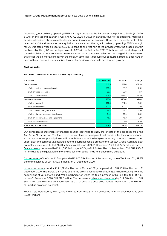Accordingly, our ordinary operating EBITDA margin decreased by 2.9 percentage points to 58.1% (H1 2020: 61.0%). In the second quarter, it was 57.5% (Q2 2020: 60.0%), in particular due to the additional marketing activities described above as well as higher operating personnel expenses. However, if the cost effects of the immoverkauf24 and Vermietet.de acquisitions are excluded, the organic ordinary operating EBITDA margin for Q2 was stable year on year at 60.0%. Relative to the first half of the previous year, the organic margin declined slightly, by 0.9 percentage points to 60.1% in the first half of 2021. This shows that the strategic shift towards building a comprehensive market network had a dampening effect on the margin initially. However, this effect should improve steadily in the medium term. This is because our ecosystem strategy goes hand in hand with an improved revenue mix in favour of recurring revenue with accelerated growth.

#### **Net assets**

| EUR million                              | 30 June 2021 | 31 Dec. 2020 | Change   |  |
|------------------------------------------|--------------|--------------|----------|--|
| <b>Current assets</b>                    | 716.5        | 1,769.4      | $-59.5%$ |  |
| of which cash and cash equivalents       | 166.0        | 177.7        | $-6.6%$  |  |
| of which trade receivables               | 23.4         | 20.9         | $+12.1%$ |  |
| of which financial assets                | 514.6        | 1,564.8      | $-67.1%$ |  |
| Non-current assets                       | 1,793.0      | 1,751.0      | $+2.4%$  |  |
| of which goodwill                        | 766.5        | 712.6        | $+7.6%$  |  |
| of which trademarks                      | 877.2        | 877.4        | $-0.0%$  |  |
| of which other intangible assets         | 65.4         | 75.2         | $-13.0%$ |  |
| of which right-of-use assets from leases | 54.2         | 55.6         | $-2.5%$  |  |
| of which property, plant and equipment   | 16.5         | 16.3         | $+1.3%$  |  |
| of which financial assets                | 12.3         | 13.0         | $-5.2%$  |  |
| Total equity and liabilities             | 2,509.5      | 3,520.4      | $-28.7%$ |  |

#### **STATEMENT OF FINANCIAL POSITION – ASSETS (CONDENSED)**

Our consolidated statement of financial position continues to show the effects of the proceeds from the AutoScout24 transaction. The funds from the purchase price payment that remain after the aforementioned share buybacks are primarily invested in special funds as of the half-year reporting date, which are reported under cash and cash equivalents and under the current financial assets of the Scout24 Group. Cash and cash equivalents amounted to EUR 166.0 million as of 30 June 2021 (31 December 2020: EUR 177.7 million). Current financial assets decreased by EUR 1,050.2 million, or 67.1%, to EUR 514.6 million (31 December 2020: EUR 1,564.8 million) due to the liquidation of money market and special funds to finance share buybacks.

Current assets of the Scout24 Group totalled EUR 716.5 million as of the reporting date of 30 June 2021, 59.5% below the balance of EUR 1,769.4 million as of 31 December 2020.

Non-current assets stood at EUR 1,793.0 million as of 30 June 2021, compared with EUR 1,751.0 million as of 31 December 2020. The increase is mainly due to the provisional goodwill of EUR 53.9 million resulting from the acquisitions of Vermietet.de and Wohnungsbörse.net, which led to an increase in this line item to EUR 766.5 million (31 December 2020: EUR 712.6 million). The decrease in other intangible assets by EUR 9.8 million to EUR 65.4 million due to scheduled amortisation as part of purchase price allocations (31 December 2020: EUR 75.2 million) had an offsetting effect.

Total assets increased by EUR 1,010.9 million to EUR 2,509.5 million compared with 31 December 2020 (EUR 3,520.4 million).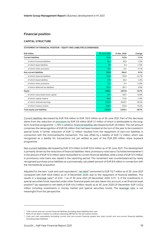#### **Financial position**

#### **CAPITAL STRUCTURE**

**STATEMENT OF FINANCIAL POSITION – EQUITY AND LIABILITIES (CONDENSED)**

| <b>EUR million</b>                | 30 June 2021 | 31 Dec. 2020 | Change   |
|-----------------------------------|--------------|--------------|----------|
| <b>Current liabilities</b>        | 132.0        | 142.6        | $-7.4%$  |
| of which financial liabilities    | 66.3         | 69.9         | $-5.3%$  |
| of which lease liabilities        | 8.9          | 8.3          | $+7.5%$  |
| of which other provisions         | 19.2         | 23.1         | $-17.1%$ |
| Non-current liabilities           | 512.5        | 564.0        | $-9.1%$  |
| of which financial liabilities    | 145.9        | 193.9        | $-24.7%$ |
| of which lease liabilities        | 57.6         | 60.2         | $-4.3%$  |
| of which other provisions         | 22.7         | 21.1         | $+7.6%$  |
| of which deferred tax liabilities | 285.2        | 287.7        | $-0.9%$  |
| Equity                            | 1,865.1      | 2,813.8      | $-33.7%$ |
| of which subscribed share capital | 92.1         | 105.7        | $-12.9%$ |
| of which capital reserve          | 186.6        | 173.0        | $+7.9%$  |
| of which retained earnings        | 2,153.5      | 3,049.7      | $-29.4%$ |
| of which treasury shares          | $-568.0$     | $-515.5$     | $-10.2%$ |
| Total equity and liabilities      | 2,509.5      | 3,520.4      | $-28.7%$ |

Current liabilities decreased by EUR 10.6 million to EUR 132.0 million as of 30 June 2021. Part of this decrease stems from the reduction of provisions by EUR 3.9 million (EUR 3.1 million of which is attributable to the longterm incentive programme – LTIP). In addition, financial liabilities decreased by EUR 3.6 million. This net amount comprises the derecognition of EUR 9.6 million that had been booked at the turn of the year to be invested in special funds. A further reduction of EUR 1.2 million resulted from the repayment of earn-out liabilities in connection with the immoverkauf24 transaction. This was offset by a liability of EUR 7.2 million, which was recognized as a liability for transactions not yet settled as part of the EUR 200 million share buyback programme.

Non-current liabilities decreased by EUR 51.5 million to EUR 512.5 million as of 30 June 2021. This development is primarily driven by the reduction of financial liabilities. Here, promissory note loans ("Schuldscheindarlehen") in the amount of EUR 57.0 million were reclassified to current financial liabilities, while a total of EUR 57.5 million in promissory note loans was repaid in the reporting period. This movement was counterbalanced by newly recognised purchase price liabilities at a provisionally calculated amount of EUR 8.9 million in connection with the Vermietet.de acquisition.

Adjusted for the item "cash and cash equivalents", net debt<sup>14</sup> amounted to EUR 112.7 million as of 30 June 2021 compared with EUR 154.6 million as of 31 December 2020, due to the repayment of financial liabilities. This results in a leverage ratio<sup>15</sup> of 0.52 : 1 as of 30 June 2021 (31 December 2020: 0.73 : 1). If the investments in special securities funds reported under other financial assets are also taken into account, a net financial asset position<sup>16</sup> (as opposed to net debt) of EUR 414.3 million results as at 30 June 2020 (31 December: EUR 1,423.2 million including investments in money market and special securities funds). The leverage ratio is not meaningful from this perspective.

<sup>14</sup> Total current and non-current financial liabilities (including lease liabilities) less cash.

<sup>&</sup>lt;sup>15</sup> Ratio of net debt in relation to ordinary operating EBITDA for the last twelve months.

<sup>16</sup> Cash and cash equivalents (including current and non-current financial assets) less total current and non-current financial liabilities (including lease liabilities).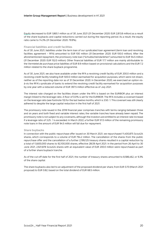Equity decreased to EUR 1,865.1 million as of 30 June 2021 (31 December 2020: EUR 2,813.8 million) as a result of the share buybacks and capital reductions carried out during the reporting period. As a result, the equity ratio came to 74.3% (31 December 2020: 79.9%).

#### **Financial liabilities and credit facilities**

As of 30 June 2021, liabilities under the term loan of our syndicated loan agreement (term loan and revolving facilities agreement – RFA) amounted to EUR 100 million (31 December 2020: EUR 100.0 million). After the aforementioned repayment, the promissory note loan ("Schuldscheindarlehen") amounted to EUR 94.5 million (31 December 2020: EUR 152.0 million). Other financial liabilities of EUR 17.7 million are mainly attributable to the Vermietet.de purchase price liabilities of EUR 8.9 million based on provisional calculations and the EUR 7.2 million related to the share buyback programme.

As of 30 June 2021, we also have available under the RFA a revolving credit facility of EUR 200.0 million and a revolving credit facility totalling EUR 500.0 million earmarked for acquisition purposes, which were not drawn, neither as of the reporting date nor as of 31 December 2020. In December 2020, we exercised an option visà-vis the RFA's syndicate of banks to extend the revolving credit facility earmarked for acquisition purposes by one year with a reduced volume of EUR 397.5 million effective as of July 2021.

The interest rate charged on the facilities drawn under the RFA is based on the EURIBOR plus an interest margin linked to the leverage ratio. A floor of 0.0% is set for the EURIBOR. The RFA includes a covenant based on the leverage ratio (see footnote 10) for the last twelve months, which is 3.50 : 1. This covenant was still clearly adhered to despite the large capital reduction in the first half of 2021.

The promissory note issued in the 2018 financial year comprises tranches with terms ranging between three and six years and both fixed and variable interest rates; the variable tranches have already been repaid. The promissory note is not subject to any covenants, although the investors are entitled to an interest rate increase if a leverage ratio of 3.25 : 1 is exceeded. In March 2022, a further EUR 57.0 million of the remaining promissory note loans in the amount of EUR 94.5 million will fall due for repayment.

#### **Share buybacks**

In connection with the public repurchase offer issued on 30 March 2021, we repurchased 11,400,875 Scout24 shares, which corresponds to a volume of EUR 794.2 million. The cancellation of the shares from the public repurchase offer and the cancellation of a further 2,199,125 treasury shares resulted in a capital reduction by a total of 13,600,000 shares to 92,100,000 shares, effective 28/29 April 2021. In the period from 26 April to 30 June 2021, 2,921,878 Scout24 shares with an equivalent value of EUR 200.0 million were repurchased as part of a further share buyback tranche.

As of the cut-off date for the first half of 2021, the number of treasury shares amounted to 8,586,462, or 9.3% of the share capital.

The share buybacks also led to an adjustment of the proposed dividend per share, from EUR 0.70 (March 2021 proposal) to EUR 0.82, based on the total dividend of EUR 68.5 million.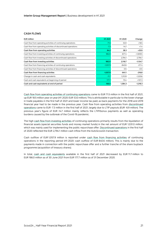#### **CASH FLOWS**

| <b>EUR</b> million                                             | H1 2021    | H <sub>1</sub> 2020 | Change     |
|----------------------------------------------------------------|------------|---------------------|------------|
| Cash flow from operating activities of continuing operations   | 71.5       | 53.0                | $+18.5$    |
| Cash flow from operating activities of discontinued operations | $-7.3$     | $-14.7$             | $+7.4$     |
| Cash flow from operating activities                            | 64.2       | 38.3                | $+25.9$    |
| Cash flow from investing activities of continuing operations   | 982.0      | $-677.4$            | $+1,659.5$ |
| Cash flow from investing activities of discontinued operations |            | 2,794.1             | $-2,794.1$ |
| Cash flow from investing activities                            | 982.0      | 2,116.7             | $-1,134.7$ |
| Cash flow from financing activities of continuing operations   | $-1,057.9$ | $-840.6$            | $-217.4$   |
| Cash flow from financing activities of discontinued operations |            | $-0.5$              | $+0.5$     |
| Cash flow from financing activities                            | $-1,057.9$ | $-841.1$            | $-216.8$   |
| Change in cash and cash equivalents                            | $-11.7$    | 1.313.9             | $-1,325.6$ |
| Cash and cash equivalents at beginning of period               | 177.7      | 70.4                | $+107.3$   |
| Cash and cash equivalents at end of period                     | 166.0      | 1,384.3             | $-1,218.3$ |

Cash flow from operating activities of continuing operations came to EUR 71.5 million in the first half of 2021, up EUR 18.5 million year on year (H1 2020: EUR 53.0 million). This is attributable in particular to the lower change in trade payables in the first half of 2021 and lower income tax paid, as back payments for the 2018 and 2019 financial year had to be made in the previous year. Cash flow from operating activities from discontinued operations came to EUR -7.3 million in the first half of 2021, largely due to LTIP payouts (EUR -6.9 million). The previous year's figure of EUR -14.7 million mainly reflects the LTIP/bonus payments as well as operating burdens caused by the outbreak of the Covid-19 pandemic.

The high cash flow from investing activities of continuing operations primarily results from the liquidation of financial assets (special securities funds and money market funds) in the net amount of EUR 1,031.0 million, which was mainly used for implementing the public repurchase offer. Discontinued operations in the first half of 2020 reflected the EUR 2,794.1 million cash inflow from the AutoScout24 transaction.

Cash outflow of EUR 1,057.9 million is reported under cash flow from financing activities of continuing operations in the reporting period (H1 2020: cash outflow of EUR 840.6 million). This is mainly due to the payments made in connection with the public repurchase offer and a further tranche of the share buyback programme (acquisition of treasury shares).

In total, cash and cash equivalents available in the first half of 2021 decreased by EUR 11.7 million to EUR 166.0 million as of 30 June 2021 from EUR 177.7 million as of 31 December 2020.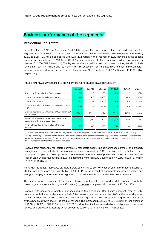# <span id="page-21-0"></span>**Business performance of the segments**

#### **Residential Real Estate**

In the first half of 2021, the Residential Real Estate segment's contribution to the combined revenue of all segments was 74% (H1 2020: 71%). In the first half of 2021, total Residential Real Estate revenue increased by 13.6% to EUR 140.0 million compared with EUR 123.2 million in the first half of 2020. Revenue in the second quarter grew even faster, by 19.0% to EUR 71.2 million, compared to the pandemic-burdened previous year quarter (Q2 2020: EUR 59.9 million). The figures for the first half and second quarter of the year also include revenue of EUR 5.4 million and EUR 2.8 million respectively from the acquired entities immoverkauf24, Wohnungsbörse and Vermietet.de, of which Immoverkauf24 accounts for EUR 5.2 million and EUR 2.7 million respectively.

|                                                                                                      | Q2 2021 | Q2 2020 | Change    | H1 2021 | H <sub>1</sub> 2020 | Change    |
|------------------------------------------------------------------------------------------------------|---------|---------|-----------|---------|---------------------|-----------|
| Revenue of Residential Real Estate segment                                                           | 71.2    | 59.9    | +19.0%    | 140.0   | 123.2               | +13.6%    |
| of which residential real estate partners                                                            | 49.7    | 41.6    | +19.5%    | 97.9    | 84.9                | $+15.3%$  |
| of which consumers                                                                                   | 21.5    | 18.2    | $+18.0%$  | 42.1    | 38.3                | $+9.9%$   |
| Ordinary operating EBITDA of Residential Real Estate<br>segment                                      | 4178    | 38.2    | $+9.1%$   | 84.2    | 79.5                | $+5.9%$   |
| Ordinary operating EBITDA margin of Residential Real<br>Estate segment                               | 58.6%   | 63.9%   | $-5.3$ pp | 60.1%   | 64.5%               | $-4.4$ pp |
| Residential real estate partners (number of core<br>customers <sup>1</sup> at the end of the period) | 17.668  | 17.020  | $+3.8%$   | 17,668  | 17.020              | $+3.8%$   |
| ARPU <sup>2</sup> with residential real estate partners (EUR,<br>monthly)                            | 752     | 690     | $+9.0%$   | 745     | 709                 | $+5.1%$   |

#### **RESIDENTIAL REAL ESTATE PERFORMANCE INDICATORS (NOT INCLUDED IN AUDITOR'S REVIEW)**

1 Customers with a fee-based contract extending beyond the reporting period that entitles them to market more than one property

2 Average revenue per user per month, calculated by dividing the revenue generated with the respective core customers in the reported period by the average number of core customers in the same period (calculated based on opening and closing balances) further divided by the number of months in the corresponding period

Revenue from residential real estate partners, i.e. real estate agents (including finance partners) and property managers, which are included in the segment revenue, increased by 15.3% compared with the first six months of the previous year (Q2 2021: up 19.5%). The main reason for this development was the strong growth of the Realtor Lead Engine revenue (in H1 2021, including the immoverkauf.24 business) by 162.2% to EUR 15.7 million (H1 2020: EUR 6.0 million).

ARPU with residential real estate partners increased by 5.1% to EUR 745 year on year. In the second quarter of 2021, it rose even more significantly, by 9.0% to EUR 752, as a result of our agents' increased demand and willingness to pay. At the same time, migration to the new membership models has slowed somewhat.

The number of our customers also continued to rise as of the half-year reporting date. Compared with the previous year, we were able to gain 648 (smaller) customers (compared with the end of 2020: up 455).

Revenue with consumers, which is also included in the Residential Real Estate segment, rose by 9.9% compared with the same six-month period of the previous year, and indeed by 18.0% in the second quarter. With the introduction of free-to-list at the end of the first quarter of 2020, foregone listing revenue was offset by the dynamic growth of our Plus product revenue. This increased by 30.5% to EUR 25.1 million in the first half of 2021 (up 32.8% to EUR 13.2 million in Q2 2021) and for the first time exceeded our total pay-per-ad revenue (private and professional listings), which amounted to EUR 23.2 million in the first half of 2021.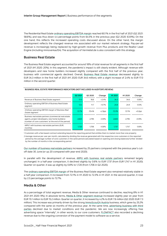The Residential Real Estate ordinary operating EBITDA margin reached 60.1% in the first half of 2021 (Q2 2021: 58.6%), and was thus down 4.4 percentage points from 64.5% in the previous year (Q2 2020: 63.9%). On the one hand, this reflects the increased operating costs discussed above. On the other hand, the margin development reflects the changed revenue mix associated with our market network strategy. Pay-per-ad revenue is increasingly being replaced by high-growth revenue from Plus products and the Realtor Lead Engine (including immoverkauf24). The acquisition of Vermietet.de is also consistent with this strategy.

#### **Business Real Estate**

The Business Real Estate segment accounted for around 18% of total revenue for all segments in the first half of 2021 (H1 2020: 20%). In this segment, the pandemic's impact is still clearly evident. Although revenue with developers and new home builders increased slightly compared with the first half of the previous year, business with commercial agents declined. Overall, Business Real Estate revenue decreased slightly to EUR 34.3 million in the first half of 2021 (H1 2020: EUR 34.6 million), with a slight increase of 2.4% to EUR 17.0 million in the second quarter.

|                                                                                                                                                                             | Q2 2021 | Q <sub>2</sub> 20 <sub>20</sub> | Change    | H1 2021 | H <sub>1</sub> 2020 | Change    |
|-----------------------------------------------------------------------------------------------------------------------------------------------------------------------------|---------|---------------------------------|-----------|---------|---------------------|-----------|
| Revenue of Business Real Estate segment                                                                                                                                     | 17.0    | 16.6                            | $+2.4%$   | 34.3    | 34.6                | $-0.8%$   |
| Ordinary operating EBITDA of Business Real Estate<br>segment                                                                                                                | 12.4    | 11.7                            | $+5.7%$   | 24.8    | 24.9                | $-0.5%$   |
| Ordinary operating EBITDA margin of Business Real<br>Estate segment                                                                                                         | 72.7%   | 70.4%                           | $+2.3$ pp | 72.3%   | 72.1%               | $+0.2$ pp |
| Business real estate partners (commercial real estate<br>agents, project developers, new home builders)<br>(number of core customers <sup>1</sup> at the end of the period) | 2.820   | 2.795                           | $+0.9%$   | 2.820   | 2.795               | $+0.9%$   |
| ARPU <sup>2</sup> with business real estate partners (EUR,<br>monthly)                                                                                                      | 1.720   | 1.706                           | $+0.8%$   | 1.737   | 1.747               | $-0.6%$   |

#### **BUSINESS REAL ESTATE PERFORMANCE INDICATORS (NOT INCLUDED IN AUDITOR'S REVIEW)**

1 Customers with a fee-based contract extending beyond the reporting period that entitles them to market more than one property

2 Average revenue per user per month, calculated by dividing the revenue generated with the respective core customers in the reported period by the average number of core customers in the same period (calculated based on opening and closing balances) further divided by the number of months in the corresponding period

Our number of business real estate partners increased by 25 partners compared with the previous year's cutoff date 30 June (or up 20 compared with year-end 2020).

In parallel with the development of revenue, ARPU with business real estate partners remained largely unchanged. In a half-year comparison, it declined slightly by 0.6% to EUR 1,737 (from EUR 1,747 in H1 2020). Quarter on quarter, it was up slightly by 0.8% to 1,720 (from 1,706 in Q2 2020).

The ordinary operating EBITDA margin of the Business Real Estate segment also remained relatively stable in a half-year comparison. It increased from 72.1% in H1 2020 to 72.3% in H1 2021. In the second quarter, it rose by 2.3 percentage points to 72.7%.

#### **Media & Other**

As a percentage of total segment revenue, Media & Other revenue continued to decline, reaching 8% in H1 2021 (H1 2020: 9%). In absolute terms, Media & Other segment revenue increased slightly year on year from EUR 15.1 million to EUR 15.2 million. Quarter on quarter, it increased by 4.2% to EUR 7.6 million (Q2 2020: EUR 7.3 million). This increase was primarily driven by the strong ImmoScout24 Austria business, which grew by 25.2% compared with the same six months of the previous year. At the same time, advertising business with third parties declined due to market conditions and the pandemic. We are now increasingly offering free advertising space "internally", in other words, to our core customers. FLOWFACT also recorded a declining revenue due to the ongoing conversion of the payment model to software-as-a-service.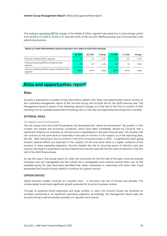The ordinary operating EBITDA margin of the Media & Other segment decreased by 4.2 percentage points from 40.4% in H1 2020 to 35.2% in H1 2021 (Q2 2020: 41.0%; Q2 2021: 38.8%) primarily due to the decline in the advertising business.

|                                                              | Q2 2021 | Q2 2020 | Change    | H1 2021 | H1 2020 | Change    |
|--------------------------------------------------------------|---------|---------|-----------|---------|---------|-----------|
| Revenue of Media & Other segment                             | 7.6     | 7.3     | $+4.2%$   | 15.2    | 15.1    | $+1.1%$   |
| Ordinary operating EBITDA of Media & Other<br>segment        | 2.9     | 3.0     | $-4.3%$   | 5.5     | 6.1     | $-9.6%$   |
| Ordinary operating EBITDA margin of Media & Other<br>segment | 38.8%   | 41.0%   | $-2.2$ pp | 36.2%   | 40.4%   | $-4.2$ pp |

# <span id="page-23-0"></span>**Risks and opportunities report**

#### **Risks**

Scout24 is exposed to a number of risks described in detail in the "Risks and opportunities report" section of the combined management report of the Scout24 Group and Scout24 AG for the 2020 financial year. The Management Board is aware of the following relevant changes as of the end of the first six months of 2021 resulting from an updated assessment of existing risks or risks that are objectively becoming more manifest:

#### **EXTERNAL RISKS**

#### **1.8. Nature and environment**

The risk arising from the Covid-19 pandemic has dominated the "nature & environment" risk position. In this context, the market and economic conditions, which have been completely altered by Covid-19, had a significant influence on activities on ImmoScout24's marketplace in the past financial year. This situation did not continue at the same level of materiality in the past six months. In this respect, as of the reporting date, the risk – after factoring in risk occurrence in the form of revenue losses in 2020 – is significantly lower going forward. Several effects are important in this respect. On the one hand, there is a higher resilience of the business in many operating segments. Second, despite the risk of recurring waves of infection and new variants, the impact is expected to be less material than was the case with the first wave of infection in the first half of the 2020 financial year.

As was the case in the annual report for 2020, the conclusion for the first half of the year is that the existing individual risks are manageable and the overall risk is manageable and covered several times over by the available equity. No risks have been identified that, either individually or collectively with other risks, could jeopardise the Scout24 Group's ability to continue as a going concern.

#### **OPPORTUNITIES**

Digital business models continue on a growth track – in Germany, the rest of Europe and globally. This uninterrupted trend holds significant growth potential for Scout24's business models.

Through its powerful brand awareness and large number of users, the Scout24 Group has achieved an excellent positioning in all significant operating segments. Accordingly, the Management Board sees the Scout24 Group's overall business activities on a growth track overall.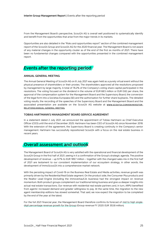From the Management Board's perspective, Scout24 AG is overall well positioned to systematically identify and benefit from the opportunities that arise from the major trends in its markets.

Opportunities are also detailed in the "Risks and opportunities report" section of the combined management report of the Scout24 Group and Scout24 AG for the 2020 financial year. The Management Board is not aware of any material changes in the opportunity cluster as of the end of the first six months of 2021. There have been no fundamental changes compared with the opportunities presented in the combined management report.

# <span id="page-24-0"></span>**Events after the reporting period**

#### **ANNUAL GENERAL MEETING**

The Annual General Meeting of Scout24 AG on 8 July 2021 was again held as a purely virtual event without the physical presence of shareholders or their proxies. The shareholders approved all the resolutions proposed by management by large majority. A total of 76.2% of the Company's voting share capital participated in the resolutions. The voting focused on the dividend in the volume of EUR 68.5 million or EUR 0.82 per share, the approval of the compensation system for the Management Board and the Supervisory Board, the conversion of the legal form into a Societas Europaea (SE) and the authorisation for further share buybacks. The detailed voting results, the recording of the speeches of the Supervisory Board and the Management Board and the associated presentation are available on the Scout24 AG website at **[WWW.SCOUT24.COM/EN/INVESTOR-](https://www.scout24.com/en/investor-relations/annual-general-meeting)[RELATIONS/ANNUAL-GENERAL-MEETING](https://www.scout24.com/en/investor-relations/annual-general-meeting)**.

#### **TOBIAS HARTMANN'S MANAGEMENT BOARD SERVICE AGREEMENT**

In a statement dated 2 July 2021, we announced the appointment of Tobias Hartmann as Chief Executive Officer (CEO) until the end of December 2025. Hartmann has been CEO of Scout24 AG since November 2018. With the extension of the agreement, the Supervisory Board is creating continuity in the Company's senior management. Hartmann has successfully repositioned Scout24 with a focus on the real estate business in recent years.

## <span id="page-24-1"></span>**Overall assessment and outlook**

The Management Board of Scout24 AG is very satisfied with the operational and financial development of the Scout24 Group in the first half of 2021, seeing in it a confirmation of the Group's strategic agenda. The positive development of revenue – up 9.7% to EUR 189.7 million – together with the changed sales mix in the first half of 2021 are testament to our consistent implementation of our ecosystem strategy, in other words, the development of ImmoScout24 into a comprehensive market network.

With the persisting impact of Covid-19 on the Business Real Estate and Media activities, revenue growth was primarily driven by the Residential Real Estate segment. On the product side, the Consumer Plus products and the Realtor Lead Engine (including the immoverkauf.24 business) had the strongest impact on revenue momentum. Both product groups complement our traditional listing business and give us deeper insights into actual real estate transactions. Our revenue with residential real estate partners and, in turn, ARPU benefited from agents' increased demand and greater willingness to pay. At the same time, the migration to the new agent membership editions has slowed somewhat. That said, we now expect the migration to be completed by the end of the year at the latest.

For the full 2021 financial year, the Management Board therefore confirms its forecast of mid to high singledigit percentage revenue growth for the Group (Group revenue FY 2020: EUR 353.8 million).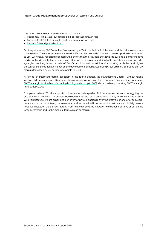Cascaded down to our three segments, that means:

- Residential Real Estate: low double-digit percentage growth rate
- Business Real Estate: low single-digit percentage growth rate
- Media & Other: slightly declining

Ordinary operating EBITDA for the Group rose by 4.5% in the first half of the year, and thus at a slower pace than revenue. The newly acquired immoverkauf24 and Vermietet.de have yet to make a positive contribution to EBITDA. Already reported repeatedly, this shows that the strategic shift towards building a comprehensive market network initially has a dampening effect on the margin. In addition to the investments in growth, dissynergies resulting from the sale of AutoScout24 as well as additional marketing activities and higher personnel expenses had an impact on the development of costs. Accordingly, our ordinary operating EBITDA margin decreased by 2.9 percentage points to 58.1%.

Assuming an improved margin especially in the fourth quarter, the Management Board – without taking Vermietet.de into account – likewise confirms its earnings forecast. This is premised on an ordinary operating EBITDA margin for the Group (including holding costs) of up to 60% (Group ordinary operating EBITDA margin in FY 2020: 60.0%).

Completed in May 2021, the acquisition of Vermietet.de is a perfect fit for our market network strategy. It gives us a significant head start in product development for the rent market, which is key in Germany and Austria. With Vermietet.de, we are expanding our offer for private landlords, over the lifecycle of one or even several tenancies. In the short term, the revenue contribution will still be low and investments will initially have a negative impact on the EBITDA margin. From next year onwards, however, we expect a positive effect on the Group's revenue and, in the medium term, also on its margin.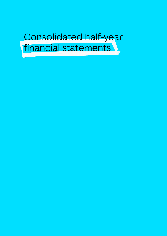# <span id="page-26-0"></span>Consolidated half-year financial statements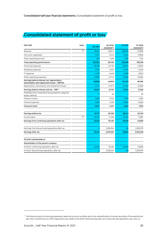# <span id="page-27-0"></span>**Consolidated statement of profit or loss**

| <b>EUR '000</b>                                                                             | Note | Q2 2021   | Q2 2020<br>(restated <sup>17</sup> ) | H1 2021   | H1 2020<br>(restated $17$ ) |
|---------------------------------------------------------------------------------------------|------|-----------|--------------------------------------|-----------|-----------------------------|
| Revenue                                                                                     | 3.1  | 95.911    | 83,874                               | 189,676   | 172,985                     |
| Own work capitalised                                                                        |      | 6,721     | 5,443                                | 12,325    | 10,826                      |
| Other operating income                                                                      |      | 320       | 1,429                                | 1,266     | 1.725                       |
| Total operating performance                                                                 |      | 102,952   | 90,746                               | 203,268   | 185,536                     |
| Personnel expenses                                                                          |      | $-26.228$ | $-24,730$                            | $-48,073$ | $-42,620$                   |
| Marketing expenses                                                                          |      | $-9,751$  | $-5,015$                             | $-17,794$ | $-13,279$                   |
| IT expenses                                                                                 |      | $-4.287$  | $-4,449$                             | $-8.298$  | $-8.622$                    |
| Other operating expenses                                                                    |      | $-13,697$ | $-12,743$                            | $-27,826$ | $-24,620$                   |
| Earnings before interest, tax, depreciation,<br>amortisation and impairment losses - EBITDA |      | 48,988    | 43,809                               | 101,276   | 96,395                      |
| Depreciation, amortisation and impairment losses                                            |      | $-14,171$ | $-12,073$                            | $-27,492$ | $-24,859$                   |
| Earnings before interest and tax - EBIT                                                     |      | 34.817    | 31.737                               | 73,784    | 71,536                      |
| Profit/loss from investments accounted for using the<br>equity method                       |      | 17        | 48                                   |           | 82                          |
| Finance income                                                                              |      | 3,555     | 2,745                                | 9,319     | 4,367                       |
| Finance expenses                                                                            |      | $-5.619$  | $-4,193$                             | $-14,962$ | $-12,265$                   |
| <b>Financial result</b>                                                                     |      | $-2,047$  | $-1,401$                             | $-5,641$  | $-7,816$                    |
| Earnings before tax                                                                         |      | 32,771    | 30,336                               | 68,143    | 63,720                      |
| Income taxes                                                                                | 3.2  | $-10.447$ | $-11.106$                            | $-21.383$ | $-17.861$                   |
| Earnings from continuing operations after tax                                               |      | 22,324    | 19,230                               | 46.760    | 45,859                      |
| Earnings from discontinued operations after tax                                             |      | O         | 2,259,254                            | $-96$     | 2,259,379                   |
| Earnings after tax                                                                          |      | 22,324    | 2,278,483                            | 46,664    | 2,305,238                   |
| Of which attributable to:                                                                   |      |           |                                      |           |                             |
| Shareholders of the parent company                                                          |      |           |                                      |           |                             |
| of which: continuing operations, after tax                                                  |      | 22,324    | 19,230                               | 46,760    | 45,859                      |
| of which: discontinued operations, after tax                                                |      |           | 2,259,254                            | -96       | 2,259,379                   |

<sup>&</sup>lt;sup>17</sup> The financial result of continuing operations takes into account an effect due to the reclassification of certain securities of the special fund, see note 4; furthermore, an IFRS 5 adjustment was made to the Q2/H1 2020 earnings after tax of discontinued operations, see note 2.3.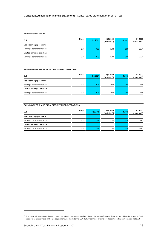#### **EARNINGS PER SHARE**

| <b>EUR</b>                   | Note | Q2 2021 | Q2 2020<br>(restated <sup>18</sup> ) | H1 2021 | H1 2020<br>(restated <sup>18</sup> ) |
|------------------------------|------|---------|--------------------------------------|---------|--------------------------------------|
| Basic earnings per share     |      |         |                                      |         |                                      |
| Earnings per share after tax | 3.3  | 0.25    | 21.99                                | 0.50    | 22.11                                |
| Diluted earnings per share   |      |         |                                      |         |                                      |
| Earnings per share after tax | 3.3  | 0.25    | 21.99                                | 0.50    | 22.11                                |

#### **EARNINGS PER SHARE FROM CONTINUING OPERATIONS**

| <b>EUR</b>                   | Note | Q2 2021 | Q2 2020<br>(restated <sup>18</sup> ) | H1 2021 | H1 2020<br>(restated <sup>18</sup> ) |
|------------------------------|------|---------|--------------------------------------|---------|--------------------------------------|
| Basic earnings per share     |      |         |                                      |         |                                      |
| Earnings per share after tax | 3.3  | 0.25    | 0.19                                 | 0.50    | 0.44                                 |
| Diluted earnings per share   |      |         |                                      |         |                                      |
| Earnings per share after tax | 3.3  | 0.25    | 0.19                                 | 0.50    | 0.44                                 |

#### **EARNINGS PER SHARE FROM DISCONTINUED OPERATIONS**

| <b>EUR</b>                   | Note | Q2 2021 | Q2 2020<br>$(rested^{18})$ | H1 2021 | H1 2020<br>(restated <sup>18</sup> ) |
|------------------------------|------|---------|----------------------------|---------|--------------------------------------|
| Basic earnings per share     |      |         |                            |         |                                      |
| Earnings per share after tax | 3.3  | 0.00    | 21.80                      | 0.00    | 21.67                                |
| Diluted earnings per share   |      |         |                            |         |                                      |
| Earnings per share after tax | 3.3  | 0.00    | 21.80                      | 0.00    | 21.67                                |

<sup>&</sup>lt;sup>18</sup> The financial result of continuing operations takes into account an effect due to the reclassification of certain securities of the special fund, see note 4; furthermore, an IFRS 5 adjustment was made to the Q2/H1 2020 earnings after tax of discontinued operations, see note 2.3.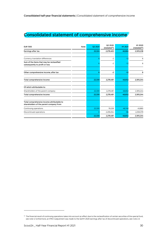# <span id="page-29-0"></span>**Consolidated statement of comprehensive income**

| <b>EUR '000</b>                                                                        | Note | Q2 2021 | Q2 2020<br>(restated <sup>19</sup> ) | H1 2021 | H1 2020<br>(restated <sup>19</sup> ) |
|----------------------------------------------------------------------------------------|------|---------|--------------------------------------|---------|--------------------------------------|
| Earnings after tax                                                                     |      | 22,324  | 2,278,483                            | 46,664  | 2,305,238                            |
|                                                                                        |      |         |                                      |         |                                      |
| Currency translation differences                                                       |      |         | $-2$                                 | $-12$   | 6                                    |
| Sum of the items that may be reclassified<br>subsequently to profit or loss            |      |         | $-2$                                 | $-12$   | 6                                    |
| Other comprehensive income, after tax                                                  |      | 6       | $-2$                                 | $-12$   | 6                                    |
| Total comprehensive income                                                             |      | 22,330  | 2,278,481                            | 46,652  | 2,305,244                            |
| Of which attributable to:                                                              |      |         |                                      |         |                                      |
| Shareholders of the parent company                                                     |      | 22,330  | 2,278,481                            | 46,652  | 2,305,244                            |
| Total comprehensive income                                                             |      | 22,330  | 2,278,481                            | 46,652  | 2,305,244                            |
| Total comprehensive income attributable to<br>shareholders of the parent company from: |      |         |                                      |         |                                      |
| Continuing operations                                                                  |      | 22,330  | 19,228                               | 46,748  | 45,865                               |
| Discontinued operations                                                                |      |         | 2,259,254                            | $-96$   | 2,259,379                            |
|                                                                                        |      | 22,330  | 2,278,481                            | 46,652  | 2,305,244                            |

<sup>&</sup>lt;sup>19</sup> The financial result of continuing operations takes into account an effect due to the reclassification of certain securities of the special fund, see note 4; furthermore, an IFRS 5 adjustment was made to the Q2/H1 2020 earnings after tax of discontinued operations, see note 2.3.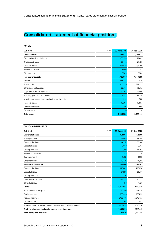# <span id="page-30-0"></span>**Consolidated statement of financial position**

| <b>ASSETS</b>                                     |      |              |              |
|---------------------------------------------------|------|--------------|--------------|
| <b>EUR '000</b>                                   | Note | 30 June 2021 | 31 Dec. 2020 |
| <b>Current assets</b>                             |      | 716,533      | 1,769,432    |
| Cash and cash equivalents                         |      | 165,978      | 177,663      |
| Trade receivables                                 |      | 23,442       | 20,911       |
| Financial assets                                  | 4    | 514,629      | 1,564,788    |
| Income tax assets                                 |      | 2,980        | 87           |
| Other assets                                      |      | 9,505        | 5,984        |
| Non-current assets                                |      | 1,792,987    | 1,750,959    |
| Goodwill                                          |      | 766,467      | 712,610      |
| Trademarks                                        |      | 877,196      | 877,352      |
| Other intangible assets                           |      | 65,376       | 75,152       |
| Right-of-use assets from leases                   |      | 54,205       | 55,596       |
| Property, plant and equipment                     |      | 16,547       | 16,330       |
| Investments accounted for using the equity method |      | 362          | 360          |
| Financial assets                                  | 4    | 12,304       | 12,983       |
| Deferred tax assets                               |      | 521          | 568          |
| Other assets                                      |      | 10           | 10           |
| <b>Total assets</b>                               |      | 2,509,520    | 3,520,391    |

| <b>EQUITY AND LIABILITIES</b>                                       |              |              |
|---------------------------------------------------------------------|--------------|--------------|
| <b>Note</b><br><b>EUR '000</b>                                      | 30 June 2021 | 31 Dec. 2020 |
| <b>Current liabilities</b>                                          | 131,984      | 142,568      |
| Trade payables                                                      | 13.466       | 13,250       |
| 4<br><b>Financial liabilities</b>                                   | 66,251       | 69,931       |
| Lease liabilities                                                   | 8,883        | 8,263        |
| Other provisions                                                    | 19,150       | 23,094       |
| Income tax liabilities                                              | 1.243        | 2,710        |
| Contract liabilities                                                | 9.251        | 8.950        |
| Other liabilities                                                   | 13,740       | 16,371       |
| <b>Non-current liabilities</b>                                      | 512,480      | 564,007      |
| 4<br><b>Financial liabilities</b>                                   | 145.889      | 193,858      |
| Lease liabilities                                                   | 57,590       | 60,187       |
| Other provisions                                                    | 22.730       | 21.123       |
| Deferred tax liabilities                                            | 285,158      | 287,712      |
| Other liabilities                                                   | 1,113        | 1,126        |
| 5<br>Equity                                                         | 1,865,055    | 2,813,815    |
| Subscribed share capital                                            | 92,100       | 105,700      |
| Capital reserve                                                     | 186,633      | 173,033      |
| Retained earnings                                                   | 2,153,479    | 3,049,733    |
| Other reserves                                                      | 871          | 883          |
| Treasury shares (8,586,462 shares; previous year: 7,863,709 shares) | $-568,028$   | $-515,534$   |
| Equity attributable to shareholders of parent company               | 1,865,055    | 2,813,815    |
| Total equity and liabilities                                        | 2,509,520    | 3,520,391    |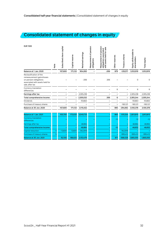# <span id="page-31-0"></span>**Consolidated statement of changes in equity**

| <b>EUR '000</b>                                                                                                                       | Note | capital<br>Subscribed share | Capital reserve | Retained earnings | Measurement of pension<br>obligations | Measurement of pension<br>sale<br>associated<br>assets held for<br>obligations<br>with | Other reserves | Treasury shares | Equity attributable to<br>shareholders | Total equity |
|---------------------------------------------------------------------------------------------------------------------------------------|------|-----------------------------|-----------------|-------------------|---------------------------------------|----------------------------------------------------------------------------------------|----------------|-----------------|----------------------------------------|--------------|
| Balance at 1 Jan. 2020                                                                                                                |      | 107,600                     | 171,133         | 904,083           |                                       | $-206$                                                                                 | 879            | $-129,571$      | 1,053,919                              | 1,053,919    |
| Reclassification of the<br>remeasurement gains/losses<br>on pension obligations<br>associated with assets held for<br>sale, after tax |      |                             |                 | $-206$            |                                       | 206                                                                                    |                |                 | 0                                      | $\mathbf 0$  |
| Currency translation<br>differences                                                                                                   |      |                             |                 |                   |                                       |                                                                                        | 6              |                 | 6                                      | 6            |
| Earnings after tax                                                                                                                    |      |                             |                 | 2,305,238         |                                       |                                                                                        |                |                 | 2,305,238                              | 2,305,238    |
| Total comprehensive income                                                                                                            |      |                             |                 | 2,305,032         |                                       | 206                                                                                    | 6              | -               | 2,305,244                              | 2,305,244    |
| <b>Dividends</b>                                                                                                                      |      |                             |                 | $-93,663$         |                                       |                                                                                        |                |                 | $-93,663$                              | $-93,663$    |
| Purchase of treasury shares                                                                                                           |      |                             |                 |                   |                                       |                                                                                        |                | $-165,121$      | $-165,121$                             | $-165,121$   |
| Balance at 30 Jun. 2020                                                                                                               |      | 107,600                     | 171,133         | 3,115,452         |                                       | ۰                                                                                      | 885            | $-294,692$      | 3,100,378                              | 3,100,378    |
|                                                                                                                                       |      |                             |                 |                   |                                       |                                                                                        |                |                 |                                        |              |
| Balance at 1 Jan. 2021                                                                                                                |      | 105,700                     | 173,033         | 3,049,733         |                                       |                                                                                        | 883            | $-515,534$      | 2,813,815                              | 2,813,815    |
| <b>Currency translation</b><br>differences                                                                                            |      |                             |                 |                   |                                       |                                                                                        | $-12$          |                 | $-12$                                  | $-12$        |
| Earnings after tax                                                                                                                    |      |                             |                 | 46,664            |                                       |                                                                                        |                |                 | 46,664                                 | 46,664       |
| <b>Total comprehensive income</b>                                                                                                     |      |                             |                 | 46,664            |                                       |                                                                                        | $-12$          |                 | 46,652                                 | 46,652       |

Purchase of treasury shares 5 **– – – – – –** -995,412 -995,412 -995,412 **Balance at 30 Jun. 2021 92,100 186,633 2,153,479 – – 871 -568,028 1,865,055 1,865,055**

Capital reduction 5 -13,600 13,600 -942,918 **– – –** 942,918 **– –**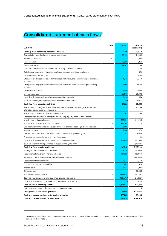# <span id="page-32-0"></span>**Consolidated statement of cash flows**

| <b>EUR '000</b>                                                                                                               | Note | H1 2021      | H1 2020<br>(rested <sup>20</sup> ) |
|-------------------------------------------------------------------------------------------------------------------------------|------|--------------|------------------------------------|
| Earnings from continuing operations after tax                                                                                 |      | 46,760       | 45,859                             |
| Depreciation, amortisation and impairment losses                                                                              |      | 27,492       | 24,859                             |
| Income tax expense                                                                                                            | 3.2  | 21,383       | 17,861                             |
| Finance income                                                                                                                |      | $-9,319$     | $-4,367$                           |
| Finance expenses                                                                                                              |      | 14,962       | 12,265                             |
| Profit/loss from investments accounted for using the equity method                                                            |      | -2           | -82                                |
| Gain/loss on disposal of intangible assets and property, plant and equipment                                                  |      |              | $-524$                             |
| Other non-cash transactions                                                                                                   |      |              | $-691$                             |
| Change in trade receivables and other assets not attributable to investing or financing<br>activities                         |      | -6,175       | $-2.760$                           |
| Change in trade payables and other liabilities not attributable to investing or financing<br>activities                       |      | 1,466        | $-6,090$                           |
| Change in provisions                                                                                                          |      | 1,506        | 2,056                              |
| Income taxes paid                                                                                                             |      | $-26,565$    | $-35,382$                          |
| Cash flow from operating activities of continuing operations                                                                  |      | 71,511       | 53,004                             |
| Cash flow from operating activities of discontinued operations                                                                |      | -7,289       | -14.671                            |
| Cash flow from operating activities                                                                                           |      | 64,222       | 38,333                             |
| Investments in intangible assets, including internally generated intangible assets and<br>intangible assets under development |      | $-12,325$    | $-11,269$                          |
| Investments in property, plant and equipment                                                                                  |      | $-1,813$     | $-1,309$                           |
| Proceeds from disposal of intangible assets and property, plant and equipment                                                 |      | 3            | 6                                  |
| Investments in financial assets                                                                                               | 4    | $-638,334$   | $-641.706$                         |
| Proceeds from disposal of financial assets                                                                                    | 4    | 1,669,365    |                                    |
| Consideration transferred for a subsidiary, net of cash and cash equivalents acquired                                         | 2.1  | $-40,565$    |                                    |
| Interest received                                                                                                             |      | 7,014        | 131                                |
| Consideration transferred for subsidiaries acquired in the previous year                                                      |      | $-1,297$     | $-23,800$                          |
| Proceeds from subsidiaries sold in previous years                                                                             |      |              | 504                                |
| Cash flow from investing activities of continuing operations                                                                  |      | 982,048      | -677,443                           |
| Cash flow from investing activities of discontinued operations                                                                |      |              | 2,794,147                          |
| Cash flow from investing activities                                                                                           |      | 982,048      | 2,116,704                          |
| Raising of short-term financial liabilities                                                                                   | 4    | 130,000      | 100,000                            |
| Repayment of short-term financial liabilities                                                                                 | 4    | $-187,500$   | $-120,000$                         |
| Repayment of medium- and long-term financial liabilities                                                                      |      |              | $-560,000$                         |
| Repayment of lease liabilities                                                                                                |      | $-4,144$     | $-2.463$                           |
| Proceeds from lease receivables                                                                                               |      | 663          | 323                                |
| Interest paid                                                                                                                 |      | $-8,024$     | $-7,297$                           |
| Dividends paid                                                                                                                |      |              | $-93,663$                          |
| Purchase of treasury shares                                                                                                   | 5    | $-988,938$   | $-157,467$                         |
| Cash flow from financing activities of continuing operations                                                                  |      | $-1.057.943$ | -840,567                           |
| Cash flow from financing activities of discontinued operations                                                                |      |              | -541                               |
| Cash flow from financing activities                                                                                           |      | $-1,057,943$ | -841,108                           |
| Net foreign exchange difference, continuing operations                                                                        |      | $-12$        | 5                                  |
| Change in cash and cash equivalents                                                                                           |      | $-11,685$    | 1,313,934                          |
| Cash and cash equivalents at beginning of period                                                                              |      | 177,663      | 70,385                             |
| Cash and cash equivalents at end of period                                                                                    |      | 165,978      | 1,384,319                          |

<sup>20</sup> The financial result from continuing operations takes into account an effect stemming from the reclassification of certain securities of the special fund, see note 4.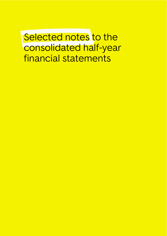<span id="page-33-0"></span>Selected notes to the consolidated half-year financial statements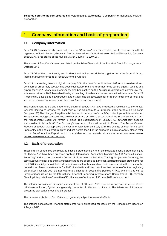**Selected notes to the consolidated half-year financial statements** | Company information and basis of preparation

# <span id="page-34-0"></span>**1. Company information and basis of preparation**

#### **1.1. Company information**

Scout24 AG (hereinafter also referred to as the "Company") is a listed public stock corporation with its registered office in Munich, Germany. The business address is: Bothestrasse 13-15, 81675 Munich, Germany. Scout24 AG is registered at the Munich District Court (HRB 220 696).

The shares of Scout24 AG have been listed on the Prime Standard of the Frankfurt Stock Exchange since 1 October 2015.

Scout24 AG as the parent entity and its direct and indirect subsidiaries together form the Scout24 Group (hereinafter also referred to as "Scout24" or the "Group").

Scout24 is a leading German digital company. With the ImmoScout24 online platform for residential and commercial properties, Scout24 has been successfully bringing together home sellers, agents, tenants and buyers for over 20 years. ImmoScout24 has also been active on the Austrian residential and commercial real estate market since 2012. To enable the digital handling of real estate transactions in the future, ImmoScout24 is continually developing new products and establishing an ecosystem for property rental and purchase as well as for commercial properties in Germany, Austria and Switzerland.

The Management Board and Supervisory Board of Scout24 AG have proposed a resolution to the Annual General Meeting to change the legal form of the Company to a European stock corporation (Societas Europaea, SE). The change of legal form is intended to underscore Scout24's positioning as a future-oriented European technology company. The previous structure entailing a separation of the Supervisory Board and the Management Board will remain in place. The shareholders of Scout24 AG automatically become shareholders in Scout24 SE. The Company's registered office will remain in Munich. The Annual General Meeting of Scout24 AG approved the change of legal form on 8 July 2021. The change of legal form is valid upon entry in the commercial register and not before then. For the expected course of events, please refer to the Transformation Report, which is available on the website at **[WWW.SCOUT24.COM/EN/INVESTOR-](https://www.scout24.com/en/investor-relations/annual-general-meeting)[RELATIONS/ANNUAL-GENERAL-MEETING](https://www.scout24.com/en/investor-relations/annual-general-meeting)**.

#### **1.2. Basis of preparation**

These interim condensed consolidated financial statements ("interim consolidated financial statements") as of 30 June 2021 have been prepared applying International Accounting Standard (IAS) 34 "Interim Financial Reporting" and in accordance with Article 115 of the German Securities Trading Act (WpHG). Generally, the same accounting policies and estimation methods are applied as in the consolidated financial statements for the 2020 financial year. A detailed description of such policies and methods is published in the notes to the consolidated financial statements for 2020. Standards and interpretations that became effective beginning on or after 1 January 2021 did not lead to any changes in accounting policies. All IASs and IFRSs as well as interpretations issued by the International Financial Reporting Interpretations Committee (IFRIC), formerly Standing Interpretations Committee (SIC), that were effective as of 30 June 2021 were adopted.

The interim consolidated financial statements as of 30 June 2021 have been prepared in euros. Unless otherwise indicated, figures are generally presented in thousands of euros. The tables and information presented can contain rounding differences.

The business activities of Scout24 are not generally subject to seasonal effects.

The interim consolidated financial statements were authorised for issue by the Management Board on 2 August 2021.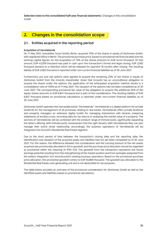**Selected notes to the consolidated half-year financial statements** | Changes in the consolidation scope

# <span id="page-35-0"></span>**2. Changes in the consolidation scope**

#### **2.1. Entities acquired in the reporting period**

#### **Acquisition of Vermietet.de**

On 11 May 2021, Immobilien Scout GmbH, Berlin, acquired 75% of the shares in equity of Zenhomes GmbH, with registered office in Berlin. The provisional purchase price, based on provisional net financial debt and net working capital figures, for the acquisition of 75% of the shares amounts to EUR 44,141 thousand. Of that amount, EUR 42,059 thousand was paid in cash upon the transaction's formal and legal closing. EUR 2,082 thousand pertains to a retention which will be released for payment 18 months after closing. The resulting liability of EUR 2,082 thousand is reported under non-current financial liabilities as of 30 June 2021.

Furthermore, put and call options were agreed to acquire the remaining 25% of the shares in equity of Zenhomes GmbH from the minority shareholder. Given that Scout24 has an unconditional obligation to acquire the shares under the options, the application of the anticipated acquisition method results in a consolidation ratio of 100% as of 11 May 2021. The valuation of the options had not been completed as of 30 June 2021. The corresponding provisional fair value of the obligation to acquire the additional 25% of the equity shares amounts to EUR 6,847 thousand and is part of the consideration. The resulting liability of EUR 6,847 thousand based on provisional calculations is reported under non-current financial liabilities as of 30 June 2021.

Zenhomes GmbH operates the real estate portal "Vermietet.de". Vermietet.de is a digital platform for private landlords for the management of all processes relating to real estate. Vermietet.de offers private landlords and property managers an extensive digital toolkit for managing interactions with tenants, preparing statements of ancillary costs, recording data for tax returns or analysing the market value of a property. The services of Vermietet.de will be combined with the product range of ImmoScout24, significantly expanding the latter's offering. With ImmoScout24, homeowners find the right tenants. With Vermietet.de they can also manage their entire rental relationship. Accordingly, the business operations of Vermietet.de will be integrated into Scout24's Residential Real Estate segment.

Due to the short period of time between the transaction's closing date and the reporting date, the identification and valuation of the acquired assets and liabilities had not yet been completed as of 30 June 2021. For this reason, the difference between the consideration and the carrying amount of the net assets acquired was provisionally allocated in full to goodwill, and the purchase price allocation should be regarded as provisional within the meaning of IFRS 3.45. The goodwill from the transaction represents the future earnings potential resulting from the strengthening of the market position and from synergies expected from the entity's integration into ImmoScout24's existing business operations. Based on the provisional purchase price allocation, the provisional goodwill comes to EUR 50,869 thousand. The goodwill was allocated to the Residential Real Estate cash-generating unit and is not deductible for tax purposes.

The table below provides an overview of the provisional consideration for Zenhomes GmbH as well as the identified assets and liabilities based on provisional calculations: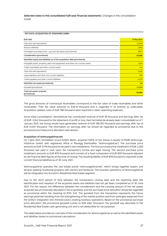**Selected notes to the consolidated half-year financial statements** | Changes in the consolidation scope

| KEY DATA: ACQUISITION OF ZENHOMES GMBH                                        |             |
|-------------------------------------------------------------------------------|-------------|
| <b>EUR '000</b>                                                               | 11 May 2021 |
| Cash and cash equivalents                                                     | 42,059      |
| Amount withheld                                                               | 2.082       |
| Contingent purchase price – put and call options (provisional)                | 6,847       |
| Consideration (provisional)                                                   | 50,988      |
| Identified assets and liabilities as of the acquisition date (provisional)    |             |
| Intangible assets, property, plant and equipment and other non-current assets | 1,623       |
| Trade receivables and other current assets                                    | 144         |
| Cash and cash equivalents                                                     | 3,490       |
| Lease liabilities and other non-current liabilities                           | $-919$      |
| Trade payables and other current liabilities                                  | $-4,220$    |
| Identified net assets (provisional)                                           | 119         |
| Goodwill (provisional)                                                        | 50,869      |
| Total net assets acquired<br>(provisional)                                    | 50.988      |

The gross amounts of contractual receivables correspond to the fair value of trade receivables and other receivables. Their fair value amounts to EUR 61 thousand and is regarded in its entirety as collectable. Acquisition-related costs of EUR 768 thousand were reported in other operating expenses.

Since initial consolidation, Vermietet.de has contributed revenue of EUR 36 thousand and earnings after tax of EUR -1,042 thousand to the statement of profit or loss. Had Vermietet.de already been consolidated as of 1 January 2021, the Group would have generated revenue of EUR 189,792 thousand and earnings after tax of EUR 41,051 thousand. The information on earnings after tax should be regarded as provisional due to the provisional purchase price allocation (see above).

#### **Acquisition of wohnungsbörse.net**

On 1 April 2021, Immobilien Scout GmbH, Berlin, acquired 100% of the shares in equity of PWIB Wohnungs-Infobörse GmbH, with registered office in Planegg (hereinafter "Wohnungsbörse"). The purchase price amounts to EUR 3,178 thousand to be paid in two installments. The first purchase price installment of EUR 2,300 thousand was paid in cash upon the transaction's formal and legal closing. The second purchase price installment amounts to EUR 878 thousand and consists of a fixed component of EUR 600 thousand adjusted by net financial debt figures at the time of closing. The resulting liability of EUR 878 thousand is reported under current financial liabilities as of 30 June 2021.

Wohnungsbörse operates the real estate portal "wohnungsbörse.net", which brings together buyers and tenants seeking residential property with owners and landlords. The business operations of Wohnungsbörse will be integrated into Scout24's Residential Real Estate segment.

Due to the short period of time between the transaction's closing date and the reporting date, the identification and valuation of the acquired assets and liabilities had not yet been completed as of 30 June 2021. For this reason, the difference between the consideration and the carrying amount of the net assets acquired was provisionally allocated in full to goodwill, and the purchase price allocation should be regarded as provisional within the meaning of IFRS 3.45. The goodwill from the transaction represents the future earnings potential resulting from the strengthening of the market position and from synergies expected from the entity's integration into ImmoScout24's existing business operations. Based on the provisional purchase price allocation, the provisional goodwill comes to EUR 2,847 thousand. The goodwill was allocated to the Residential Real Estate cash-generating unit and is not deductible for tax purposes.

The table below provides an overview of the consideration for Wohnungsbörse as well as the identified assets and liabilities based on provisional calculations: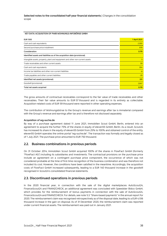**Selected notes to the consolidated half-year financial statements** | Changes in the consolidation scope

#### **KEY DATA: ACQUISITION OF PWIB WOHNUNGS-INFOBÖRSE GMBH**

| <b>EUR '000</b>                                                               | <b>1 April 2021</b> |
|-------------------------------------------------------------------------------|---------------------|
| Cash and cash equivalents                                                     | 2.300               |
| Second purchase price installment                                             | 878                 |
| Consideration                                                                 | 3,178               |
| Identified assets and liabilities as of the acquisition date (provisional)    |                     |
| Intangible assets, property, plant and equipment and other non-current assets | 5                   |
| Trade receivables and other current assets                                    | 59                  |
| Cash and cash equivalents                                                     | 304                 |
| Income tax liabilities and other non-current liabilities                      | $-8$                |
| Trade payables and other current liabilities                                  | $-29$               |
| Identified net assets (provisional)                                           | 331                 |
| Goodwill (provisional)                                                        | 2,847               |
| Total net assets acquired                                                     | 3,178               |

The gross amounts of contractual receivables correspond to the fair value of trade receivables and other receivables. Their fair value amounts to EUR 57 thousand and is regarded in its entirety as collectable. Acquisition-related costs of EUR 59 thousand were reported in other operating expenses.

The contribution of Wohnungsbörse to the Group's revenue and earnings after tax is immaterial compared with the Group's revenue and earnings after tax and is therefore not disclosed separately.

#### **Acquisition of wg-suche.de**

By way of a purchase agreement dated 11 June 2021, Immobilien Scout GmbH, Berlin, entered into an agreement to acquire the further 75% of the shares in equity of eleven55 GmbH, Berlin. As a result, Scout24 has increased its share in the equity of eleven55 GmbH from 25% to 100% and obtained control of the entity. eleven55 GmbH operates the online portal "wg-suche.de". The transaction was formally and legally closed as of 1 July 2021. The purchase price amounted to EUR 750 thousand.

#### **2.2. Business combinations in previous periods**

On 31 October 2014, Immobilien Scout GmbH acquired 100% of the shares in FlowFact GmbH (formerly "FlowFact AG") including its subsidiaries and investments. The contractual provisions on the purchase price include an agreement on a contingent purchase price component, the occurrence of which was not considered probable at the time of first-time recognition of the business combination and was therefore not included its cost. However, the conditions have been satisfied in the meantime. Accordingly, the acquisition costs of FlowFact GmbH increased subsequently, leading to a EUR 140 thousand increase in the goodwill recognised in Scout24's consolidated financial statements.

#### **2.3. Discontinued operations in previous periods**

In the 2020 financial year, in connection with the sale of the digital marketplaces AutoScout24, FinanceScout24 and FINANZCHECK, an additional agreement was concluded with Speedster Bidco GmbH, which provides for the reimbursement of bonus payments in connection with the sale of AutoScout24, FinanceScout24 and FINANZCHECK. For details, see note 5.3. "Share-based payments" in the annual report for 2020. The reimbursement claim was recognised retrospectively as of the disposal date, leading to a EUR 4,106 thousand increase in the gain on disposal. As of 31 December 2020, the reimbursement claim was reported under current financial assets. The reimbursement was paid out in January 2021.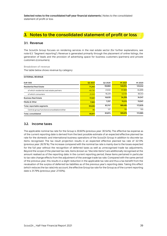**Selected notes to the consolidated half-year financial statements** | Notes to the consolidated statement of profit or loss

# <span id="page-38-0"></span>**3. Notes to the consolidated statement of profit or loss**

#### **3.1. Revenue**

**EXTERNAL REVENUE**

The Scout24 Group focuses on rendering services in the real estate sector (for further explanations, see note 6.3. "Segment reporting"). Revenue is generated primarily through the placement of online listings, the generation of leads and the provision of advertising space for business customers (partners) and private customers (consumers).

**Breakdown of revenue** The table below shows revenue by category:

| <b>LAILNIVAL REVENUE</b>                    |         |         |                     |                     |
|---------------------------------------------|---------|---------|---------------------|---------------------|
| <b>EUR '000</b>                             | Q2 2021 | Q2 2020 | H <sub>1</sub> 2021 | H <sub>1</sub> 2020 |
| <b>Residential Real Estate</b>              | 71.240  | 59,860  | 140.014             | 123.242             |
| of which residential real estate partners   | 49,730  | 41,632  | 97.889              | 84.899              |
| of which consumers                          | 21.510  | 18,229  | 42.125              | 38.343              |
| <b>Business Real Estate</b>                 | 17.021  | 16,630  | 34,259              | 34,547              |
| Media & Other                               | 7.565   | 7,257   | 15.212              | 15.047              |
| Total, reportable segments                  | 95,826  | 83,747  | 189.485             | 172,835             |
| Central group functions/consolidation/other | 86      | 127     | 191                 | 150                 |
| Total, consolidated                         | 95,911  | 83,874  | 189.676             | 172,985             |
|                                             |         |         |                     |                     |

#### **3.2. Income taxes**

The applicable nominal tax rate for the Group is 30.60% (previous year: 30.54%). The effective tax expense as of the current reporting date is derived from the best possible estimate of an expected effective planned tax rate for the domestic and international business operations of the Scout24 Group in addition to discrete tax items recognised. The tax result projection results in an expected effective planned tax rate of 32.13% (previous year: 26.78 %). The increase compared with the nominal tax rate is mainly due to the losses expected for the full year without the recognition of deferred taxes as well as unrecognised trade tax adjustments. Beyond the scope of the planned tax rate, items (known as "discrete items") are additionally recognised at the amount realised as of the reporting date. In the current reporting period, these items pertained in particular to tax rate change effects from the adjustment of the average trade tax rate. Compared with the same period of the previous year, this results in a slight reduction in the applicable tax rate and thus a tax benefit from the revaluation of the surplus of deferred tax liabilities as of the previous year's reporting date. Taking this effect (which reduces the tax rate) into account, the effective Group tax rate for the Group as of the current reporting date is 31.79% (previous year: 27.93%).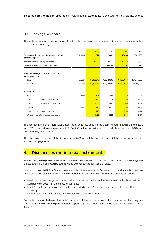#### **3.3. Earnings per share**

The table below shows the calculation of basic and diluted earnings per share attributable to the shareholders of the parent company:

|                                                                |                 | Q2 2021    | Q2 2020     | H <sub>1</sub> 2021 | H1 2020     |
|----------------------------------------------------------------|-----------------|------------|-------------|---------------------|-------------|
| Earnings attributable to shareholders of the<br>parent company | <b>EUR '000</b> | 22,324     | 2,278,483   | 46.664              | 2,305,238   |
| of which from continuing operations                            |                 | 22,324     | 19,230      | 46.760              | 45,859      |
| of which from discontinued operations                          |                 |            | 2,259,254   | $-96$               | 2,259,379   |
| Weighted average number of shares for<br>earnings per share    |                 |            |             |                     |             |
| Basic                                                          | Number          | 87,952,218 | 103,620,663 | 92,866,950          | 104,244,555 |
| Diluted                                                        | Number          | 87,952,218 | 103,620,663 | 92,866,950          | 104,269,530 |
| Earnings per share                                             |                 |            |             |                     |             |
| Basic                                                          | <b>EUR</b>      | 0.25       | 21.99       | 0.50                | 22.11       |
| of which from continuing operations                            |                 | 0.25       | 0.19        | 0.50                | 0.44        |
| of which from discontinued operations                          |                 | 0.00       | 21.80       | 0.00                | 21.67       |
| Diluted                                                        | <b>EUR</b>      | 0.25       | 21.99       | 0.50                | 22.11       |
| of which from continuing operations                            |                 | 0.25       | 0.19        | 0.50                | 0.44        |
| of which from discontinued operations                          |                 | 0.00       | 21.80       | 0.00                | 21.67       |

The average number of shares was determined taking into account the treasury shares acquired in the 2020 and 2021 financial years (see note 4.15 "Equity" in the consolidated financial statements for 2020 and note 5 "Equity" in this report).

The dilution up to the end of the first quarter of 2020 was solely related to potential shares in connection with share-based payments.

# <span id="page-39-0"></span>**4. Disclosures on financial instruments**

The following table presents the reconciliation of the statement of financial position items and the categories pursuant to IFRS 9, analysed by category and with respect to fair value by class.

In accordance with IFRS 13, financial assets and liabilities measured at fair value must be allocated to the three levels of the fair value hierarchy. The individual levels of the fair value hierarchy are defined as follows:

- Level 1: Inputs are unadjusted quoted prices in an active market for identical assets or liabilities that the Company can access at the measurement date
- Level 2: Significant inputs other than those included in Level 1 that are observable, either directly or indirectly
- Level 3: Inputs including at least one unobservable significant input

For reclassification between the individual levels of the fair value hierarchy it is assumed that they are performed at the end of the period. In both reporting periods, there were no reclassifications between levels 1 and 2.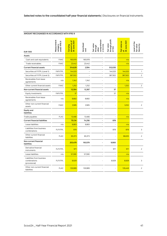| <b>EUR '000</b>                                            | Measurement<br>თ<br>under IFRS<br>category | amount as of<br>30 June 2021<br>Carrying | Amortised<br>cost | comprehensiv<br>Fair value<br>e income<br>through<br>other | through profit<br>Fair value<br>or loss | of<br>30 June 2021<br>Fair value as | Level of the<br>fair value<br>hierarchy |
|------------------------------------------------------------|--------------------------------------------|------------------------------------------|-------------------|------------------------------------------------------------|-----------------------------------------|-------------------------------------|-----------------------------------------|
| Assets                                                     |                                            |                                          |                   |                                                            |                                         |                                     |                                         |
| Cash and cash equivalents                                  | <b>FAAC</b>                                | 165,978                                  | 165.978           |                                                            | ÷,                                      | n/a                                 |                                         |
| Trade receivables                                          | <b>FAAC</b>                                | 23,442                                   | 23,442            |                                                            |                                         | n/a                                 |                                         |
| <b>Current financial assets</b>                            |                                            | 514,629                                  | 2,594             |                                                            | 512,035                                 |                                     |                                         |
| Securities at FVTPL (Level 1)                              | <b>FAFVTPL</b>                             | 144,533                                  | ÷,                |                                                            | 144,533                                 | 144,533                             | 1                                       |
| Securities at FVTPL (Level 2)                              | <b>FAFVTPL</b>                             | 367,502                                  |                   | ÷,                                                         | 367,502                                 | 367,502                             | $\overline{2}$                          |
| Receivables from lease<br>agreements                       | n/a                                        | 1,342                                    | 1,342             |                                                            |                                         | n/a                                 |                                         |
| Other current financial assets                             | <b>FAAC</b>                                | 1,252                                    | 1,252             |                                                            | ÷,                                      | 1,252                               | $\overline{2}$                          |
| Non-current financial assets                               |                                            | 12,304                                   | 12,267            | L,                                                         | 37                                      |                                     |                                         |
| Equity investments                                         | <b>FAFVTPL</b>                             | 37                                       |                   |                                                            | 37                                      | n/a                                 |                                         |
| Receivables from lease<br>agreements                       | n/a                                        | 8,682                                    | 8,682             |                                                            |                                         | n/a                                 |                                         |
| Other non-current financial<br>assets                      | <b>FAAC</b>                                | 3,585                                    | 3,585             |                                                            |                                         | 3,252                               | $\overline{2}$                          |
| Equity and<br>liabilities                                  |                                            |                                          |                   |                                                            |                                         |                                     |                                         |
| Trade payables                                             | <b>FLAC</b>                                | 13,466                                   | 13,466            | L,                                                         | ÷,                                      | n/a                                 |                                         |
| <b>Current financial liabilities</b>                       |                                            | 75,134                                   | 74,256            | ÷,                                                         | 878                                     |                                     |                                         |
| Lease liabilities                                          | n/a                                        | 8,883                                    | 8.883             |                                                            |                                         | n/a                                 |                                         |
| Liabilities from business<br>combinations                  | <b>FLFVTPL</b>                             | 878                                      |                   |                                                            | 878                                     | 878                                 | 3                                       |
| Other current financial<br>liabilities                     | <b>FLAC</b>                                | 65,373                                   | 65,373            |                                                            | $\overline{a}$                          | 66,635                              | $\overline{2}$                          |
| Non-current financial<br>liabilities                       |                                            | 203,479                                  | 193,579           |                                                            | 9,900                                   |                                     |                                         |
| Derivative financial<br>instruments                        | <b>FLFVTPL</b>                             | 971                                      |                   |                                                            | 971                                     | 971                                 | $\overline{2}$                          |
| Lease liabilities                                          | n/a                                        | 57,590                                   | 57,590            |                                                            | ÷,                                      | n/a                                 |                                         |
| Liabilities from business<br>combinations<br>(provisional) | <b>FLFVTPL</b>                             | 8,929                                    |                   |                                                            | 8,929                                   | 8,929                               | 3                                       |
| Other non-current financial<br>liabilities                 | <b>FLAC</b>                                | 135,989                                  | 135,989           |                                                            |                                         | 135,449                             | $\overline{2}$                          |

#### **AMOUNT RECOGNISED IN ACCORDANCE WITH IFRS 9**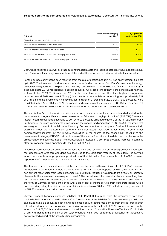#### **Selected notes to the consolidated half-year financial statements** | Disclosures on financial instruments

| EUR '000                                                            | Measurement category<br>under IFRS 9 | <b>Carrying amount</b><br>as of 30 June 2021 |
|---------------------------------------------------------------------|--------------------------------------|----------------------------------------------|
| Of which aggregated by IFRS 9 category                              |                                      |                                              |
| Financial assets measured at amortised cost                         | FAAC.                                | 194.257                                      |
| Financial liabilities measured at amortised cost                    | <b>FLAC</b>                          | 214,828                                      |
| Financial assets measured at fair value through profit or loss      | FAFVTPL                              | 512.072                                      |
| Financial liabilities measured at fair value through profit or loss | <b>FLFVTPL</b>                       | 10.778                                       |

Cash, trade receivables as well as other current financial assets and liabilities essentially have a short residual term. Therefore, their carrying amounts as of the end of the reporting period approximate their fair value.

For the purpose of investing cash received from the sale of entities, Scout24 AG had an investment fund set up in 2020. The investment fund was set up as a special fund and observes Scout24 AG's investment strategy, objectives and guidelines. The special fund was fully consolidated in the consolidated financial statements (for details, see note 2.3 "Consolidation of a special securities fund set up for Scout24" in the consolidated financial statements for 2020). To finance the 2021 public repurchase offer and the share buyback programme launched in April 2021 (see note 5. "Equity"), investments of the special fund amounting to approximately EUR 950 million and the investment in money market funds (as of 31 December 2020: EUR 77,909 thousand) were liquidated in full. As of 30 June 2021, the special fund includes cash amounting to EUR 45,352 thousand that has not been invested in securities and is therefore reported under cash and cash equivalents.

The special fund's investments in securities are reported under current financial assets and allocated to the measurement category "Financial assets measured at fair value through profit or loss" (FAFVTPL). These are interest-bearing securities amounting to EUR 367,502 thousand assigned to level 2 of the fair value hierarchy. Furthermore, there are investments in securities in the special fund amounting to EUR 144,533 thousand that are assigned to level 1 of the fair value hierarchy. Certain securities of the special fund, which were initially classified under the measurement category "Financial assets measured at fair value through other comprehensive income" (FAFVOCI), were reclassified in the course of the second half of 2020 to the measurement category FAFVTPL retroactively as of the special fund's inception date due to a change in the assessment of the business model. The reclassification resulted in a EUR 1,638 thousand increase in earnings after tax from continuing operations for the first half of 2020.

In addition, current financial assets as of 30 June 2021 include receivables from lease agreements, short-term rent deposits and creditors with debit balances. Due to the short-term maturity of these items, the carrying amount represents an appropriate approximation of their fair value. The receivable of EUR 4,106 thousand reported as of 31 December 2020 was settled in January 2021.

The item non-current financial assets mainly comprises the deferred transaction costs of EUR 1,340 thousand attributable to the revolving credit facility as well as non-current rent deposits of EUR 2,240 thousand and non-current receivables from lease agreements of EUR 8,682 thousand. As all inputs are directly or indirectly observable, the instruments are assigned to level 2. The fair values of the current and non-current long-term rent deposits were calculated using a discounted cash flow model based on risk-free market interest rates in the form of German government bonds, and a credit risk premium derived from corporate bonds with a corresponding rating. In addition, non-current financial assets as of 30 June 2021 include an equity investment of EUR 37 thousand in two shelf companies.

Current financial liabilities comprise liabilities of EUR 57,000 thousand from the promissory note loan ("Schuldscheindarlehen") issued in March 2018. The fair value of the liabilities from the promissory note loan is calculated using a discounted cash flow model based on a discount rate derived from the risk-free market rate adjusted to reflect an appropriate credit risk premium. In the first half of 2021, promissory notes in the amount of EUR 57,500 thousand were repaid. In addition, current financial liabilities as of 30 June 2021 include a liability to banks in the amount of EUR 7,184 thousand, which was recognised as a liability for transactions not yet settled as part of the share buyback programme.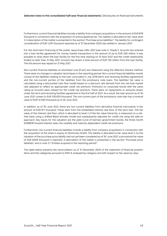Furthermore, current financial liabilities include a liability from company acquisitions in the amount of EUR 878 thousand in connection with the acquisition of wohnungsbörse.net. This liability is allocated to fair value level 3. A description of the matter is presented in the section "Purchase price liabilities". The liability for contingent consideration of EUR 1,297 thousand reported as of 31 December 2020 was settled in January 2021.

For the short-term financing of the public repurchase offer 2021 (see note 5. "Equity"), Scout24 has entered into a loan facility agreement for money market transactions in the amount of up to EUR 200 million. It was possible to draw down the loan facility for the first time starting on 10 April 2021 and the credit relationship ended no later than 31 May 2021. Scout24 has drawn a total amount of EUR 130 million from the loan facility. The full amount was repaid on 21 May 2021.

Non-current financial liabilities at amortised cost (FLAC) are measured using the effective interest method. There were no changes in valuation techniques in the reporting period. Non-current financial liabilities mostly consist of the liabilities relating to the loan concluded in July 2018 (term and revolving facilities agreement) and the non-current portion of the liabilities from the promissory note loans. The liabilities' fair value is calculated using a discounted cash flow model based on a discount rate derived from the risk-free market rate adjusted to reflect an appropriate credit risk premium. Premiums on corporate bonds with the same rating as Scout24 were utilised for the credit risk premium. There were no repayments or amounts drawn under the term and revolving facilities agreement in the first half of 2021. As a result, the loan amount as of 30 June 2021 comes to EUR 100,000 thousand. The non-current part of the promissory note loan has a nominal value of EUR 37,500 thousand as of 30 June 2021.

In addition, as of 30 June 2021, there are non-current liabilities from derivative financial instruments in the amount of EUR 971 thousand. These stem from the embedded interest rate floor of the term loan. The fair value of the interest rate floor, which is allocated to level 2 of the fair value hierarchy, is measured on a riskfree basis using a shifted Black-Scholes model and subsequently adjusted for credit risk using the add-on approach. Key inputs for the valuation are the yield curve of German government bonds, the three-month EURIBOR forward interest rates, the volatility and maturity-dependent credit risk premiums.

Furthermore, non-current financial liabilities include a liability from company acquisitions in connection with the acquisition of the share in equity of Zenhomes GmbH. This liability is allocated to fair value level 3. As the valuation of the purchase price liability had not yet been completed as of 30 June 2021, a provisional fair value of EUR 8,929 thousand is reported. A description of the matter is presented in the section "Purchase price liabilities" and in note 2.1 "Entities acquired in the reporting period".

The table below presents the reconciliation as of 31 December 2020 of the statement of financial position items and the categories pursuant to IFRS 9, analysed by category and with respect to fair value by class.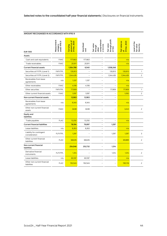| <b>EUR '000</b>                            | Measurement<br>თ<br>under IFRS<br>category | amount as of<br>31 Dec. 2020<br>Carrying | Amortised<br>cost | comprehensiv<br>Fair value<br>e income<br>through<br>other | through profit<br>Fair value<br>or loss | Fair value as<br>of<br>31 Dec. 2020 | Level of the<br>fair value<br>hierarchy |
|--------------------------------------------|--------------------------------------------|------------------------------------------|-------------------|------------------------------------------------------------|-----------------------------------------|-------------------------------------|-----------------------------------------|
| Assets                                     |                                            |                                          |                   |                                                            |                                         |                                     |                                         |
| Cash and cash equivalents                  | <b>FAAC</b>                                | 177,663                                  | 177,663           | $\overline{\phantom{0}}$                                   | $\overline{\phantom{a}}$                | n/a                                 |                                         |
| Trade receivables                          | <b>FAAC</b>                                | 20,911                                   | 20,911            | L.                                                         | $\overline{\phantom{0}}$                | n/a                                 |                                         |
| <b>Current financial assets</b>            |                                            | 1,564,788                                | 6,540             | ÷                                                          | 1,558,248                               |                                     |                                         |
| Securities at FVTPL (Level 1)              | <b>FAFVTPL</b>                             | 135,913                                  |                   | L                                                          | 135,913                                 | 135,913                             | $\mathbf{1}$                            |
| Securities at FVTPL (Level 2)              | <b>FAFVTPL</b>                             | 1,344,426                                |                   | Ĭ.                                                         | 1,344,426                               | 1,344,426                           | $\overline{2}$                          |
| Receivables from lease<br>agreements       | n/a                                        | 1,337                                    | 1,337             |                                                            |                                         | n/a                                 |                                         |
| Other receivables                          | <b>FAAC</b>                                | 4,106                                    | 4,106             | L,                                                         | $\overline{\phantom{0}}$                | n/a                                 |                                         |
| Other securities                           | <b>FAFVTPL</b>                             | 77,909                                   |                   |                                                            | 77,909                                  | 77,909                              | 1                                       |
| Other current financial assets             | <b>FAAC</b>                                | 1,097                                    | 1,097             |                                                            |                                         | 1,092                               | $\overline{2}$                          |
| Non-current financial assets               |                                            | 12,983                                   | 12,983            | $\overline{\phantom{0}}$                                   | $\overline{\phantom{a}}$                |                                     |                                         |
| Receivables from lease<br>agreements       | n/a                                        | 9,345                                    | 9,345             |                                                            |                                         | n/a                                 |                                         |
| Other non-current financial<br>assets      | <b>FAAC</b>                                | 3,638                                    | 3,638             |                                                            |                                         | 3,243                               | $\overline{2}$                          |
| <b>Equity and</b><br>liabilities           |                                            |                                          |                   |                                                            |                                         |                                     |                                         |
| Trade payables                             | <b>FLAC</b>                                | 13,250                                   | 13,250            | L,                                                         | $\overline{\phantom{a}}$                | n/a                                 |                                         |
| <b>Current financial liabilities</b>       |                                            | 78,194                                   | 76,897            | L.                                                         | 1,297                                   |                                     |                                         |
| Lease liabilities                          | n/a                                        | 8,263                                    | 8,263             |                                                            |                                         | n/a                                 |                                         |
| Liability for contingent<br>consideration  | <b>FLFVTPL</b>                             | 1,297                                    |                   |                                                            | 1,297                                   | 1,297                               | 3                                       |
| Other current financial<br>liabilities     | <b>FLAC</b>                                | 68,635                                   | 68,635            |                                                            |                                         | 69,889                              | $\overline{2}$                          |
| Non-current financial<br>liabilities       |                                            | 254,046                                  | 252,732           |                                                            | 1,314                                   |                                     |                                         |
| Derivative financial<br>instruments        | <b>FLFVTPL</b>                             | 1,314                                    |                   |                                                            | 1,314                                   | 1,314                               | $\overline{2}$                          |
| Lease liabilities                          | n/a                                        | 60,187                                   | 60,187            |                                                            | $\overline{\phantom{a}}$                | n/a                                 |                                         |
| Other non-current financial<br>liabilities | <b>FLAC</b>                                | 192,545                                  | 192,545           |                                                            |                                         | 190,116                             | $\overline{2}$                          |

#### **AMOUNT RECOGNISED IN ACCORDANCE WITH IFRS 9**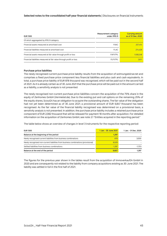#### **Selected notes to the consolidated half-year financial statements** | Disclosures on financial instruments

| EUR '000                                                            | Measurement category<br>under IFRS 9 | <b>Carrying amount</b><br>as of 31 Dec. 2020 |
|---------------------------------------------------------------------|--------------------------------------|----------------------------------------------|
| Of which aggregated by IFRS 9 category                              |                                      |                                              |
| Financial assets measured at amortised cost                         | FAAC.                                | 207.414                                      |
| Financial liabilities measured at amortised cost                    | <b>FLAC</b>                          | 274.429                                      |
| Financial assets measured at fair value through profit or loss      | FAFVTPL                              | 1,558,248                                    |
| Financial liabilities measured at fair value through profit or loss | FI EVTPI                             | 2.611                                        |

#### **Purchase price liabilities**

The newly recognised current purchase price liability results from the acquisition of wohnungsbörse.net and comprises a fixed purchase price component less financial liabilities and plus cash and cash equivalents. In total, a purchase price liability of EUR 878 thousand was recognised, which will be paid out in the second half of 2021. As it is already certain as of 30 June 2021 that the purchase price will be paid out in the amount carried as a liability, a sensitivity analysis is not presented.

The newly recognised non-current purchase price liabilities concern the acquisition of the 75% share in the equity of Zenhomes GmbH (Vermietet.de). Due to the existing put and call options on the remaining 25% of the equity shares, Scout24 has an obligation to acquire the outstanding shares. The fair value of the obligation had not yet been determined as of 30 June 2021; a provisional amount of EUR 6,847 thousand has been recognised. As the fair value of the financial liability recognised was determined on a provisional basis, a sensitivity analysis is not presented. In addition, the purchase price liability includes a retained purchase price component of EUR 2,082 thousand that will be released for payment 18 months after acquisition. For detailed information on the acquisition of Zenhomes GmbH, see note 2.1 "Entities acquired in the reporting period."

The table below shows an overview of changes in level 3 instruments for the respective reporting period:

| <b>EUR '000</b>                                                                   | 1 Jan. - 30 June 2021 | 1 Jan. - 31 Dec. 2020 |
|-----------------------------------------------------------------------------------|-----------------------|-----------------------|
| Balance at the beginning of the period                                            | 1.297                 |                       |
| Newly recognised current liabilities from business combinations                   | 878                   | 3.000                 |
| Newly recognised non-current liabilities from business combinations (provisional) | 8.929                 |                       |
| Settled liabilities from business combinations                                    | $-1.297$              | $-1.703$              |
| Balance at the end of the period                                                  | 9.807                 | 1.297                 |

The figures for the previous year shown in the tables result from the acquisition of immoverkauf24 GmbH in 2020 and are consequently not related to the liability from company acquisitions existing as 30 June 2021. The liability was settled in full in the first half of 2021.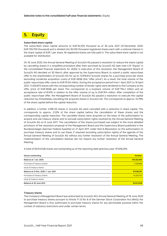<span id="page-45-0"></span>

#### **Subscribed share capital**

The subscribed share capital amounts to EUR 92,100 thousand as of 30 June 2021 (31 December 2020: EUR 105,700 thousand) and is divided into 92,100 thousand registered shares each with a notional interest in the share capital of EUR 1 per share. All registered shares are fully paid in. The subscribed share capital is not available for distribution.

On 18 June 2020, the Annual General Meeting of Scout24 AG passed a resolution to reduce the share capital by cancelling shares in a simplified procedure after their purchase by Scout24 AG (see note 4.15 "Equity" in the consolidated financial statements for 2020). In execution of this resolution, the Management Board of Scout24 AG decided on 30 March, after approval by the Supervisory Board, to submit a public repurchase offer to the shareholders of Scout24 AG for up to 13,976,613 Scout24 shares for a purchase price per share (excluding incidental acquisition costs) of EUR 69.66 (the "offer price"). As a result, the total volume of the public repurchase offer came to EUR 973.6 million. During the acceptance period from 1 April 2021 to 16 April 2021, 11,400,875 shares with the corresponding number of tender rights were tendered to the Company at the offer price of EUR 69.66 per share This corresponds to a buyback volume of EUR 794.2 million and an acceptance rate of 81.6% in relation to the offer volume of up to EUR 974 million. After completion of the public repurchase offer, the Management Board of Scout24 AG passed a resolution to execute the capital reduction by immediately cancelling the acquired shares in Scout24 AG. This corresponds to approx. 10.79% of the share capital before the capital reduction.

In addition, a further 2,199,125 shares in Scout24 AG were cancelled with a reduction in share capital. This corresponds to approx. 2.33% of the share capital before the cancellation of these shares and the corresponding capital reduction. The cancelled shares were acquired on the basis of the authorisation to acquire and use treasury shares and to exclude subscription rights resolved by the Annual General Meeting of Scout24 AG on 8 June 2017. The cancellation of the shares purchased was subject to the more detailed provisions of the resolution proposal of the Management Board and the Supervisory Board published in the Bundesanzeiger (German Federal Gazette) on 27 April 2017 under item 6 (Resolution on the authorisation to purchase treasury shares and to use these, if required excluding subscription rights) of the agenda of the Annual General Meeting of Scout24 AG without any further resolution of the Annual General Meeting. The implementation of the cancellation likewise did not require any further resolution of the Annual General Meeting.

A total of 83,513,538 shares are outstanding as of the reporting date (previous year: 97,836,291).

| Shares outstanding                    | <b>Number</b> |
|---------------------------------------|---------------|
| Balance at 1 Jan. 2020                | 105,162,959   |
| Purchase of treasury shares           | $-7,326,668$  |
| Issue of treasury shares              |               |
| Balance at 31 Dec. 2020 / 1 Jan. 2021 | 97,836,291    |
| Purchase of treasury shares           | $-14,322,753$ |
| Issue of treasury shares              |               |
| Balance at 30 June 2021               | 83.513.538    |

#### **Treasury shares**

The Company's Management Board was authorised by Scout24 AG's Annual General Meeting of 18 June 2020 to purchase treasury shares pursuant to Article 71 (1) No. 8 of the German Stock Corporation Act (AktG); the Management Board is thus authorised to purchase treasury shares for any permissible purpose within the context of statutory restrictions and under certain terms.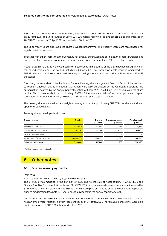#### **Selected notes to the consolidated half-year financial statements** | Other notes

Exercising the aforementioned authorisation, Scout24 AG announced the continuation of its share buyback on 23 April 2021. The third tranche of up to EUR 200 million, following the two programmes implemented in 2019/2020, started on 26 April 2021 and ended on 30 June 2021.

The Supervisory Board approved the share buyback programme. The treasury shares are repurchased for legally permitted purposes.

Together with other shares that the Company has already purchased and still holds, the shares purchased as part of the share buyback programme will at no time account for more than 10% of the share capital.

A total of 2,921,878 shares in the Company were purchased in the course of the share buyback programme in the period from 26 April up to and including 30 June 2021. The transaction costs incurred amounted to EUR 191 thousand and were deducted from equity, taking into account the attributable tax effect (EUR 58 thousand).

Exercising the authorisation by the Annual General Meeting, the Management Board of Scout24 AG resolved to redeem 2,199,125 shares in Scout24 AG, which were also purchased by the Company exercising the authorisation resolved by the Annual General Meeting of Scout24 AG on 8 June 2017, by reducing the share capital. This corresponds to approximately 2.33% of the share capital before redemption and capital reduction; for further information, also see the "Subscribed share capital" section.

The treasury shares were valued at a weighted average price of approximately EUR 67.14 per share withdrawn upon their cancellation.

Treasury shares developed as follows:

| <b>Treasury shares</b>        | <b>Number</b> | Tranche<br>(EUR '000) | Transaction costs*<br>(EUR '000) | Total amount<br>(EUR '000) |
|-------------------------------|---------------|-----------------------|----------------------------------|----------------------------|
| Balance at 1 Jan. 2021        | 7,863,709     | 515.380               | 153                              | 515,534                    |
| Purchase of treasury shares   | 14,322,753    | 994.185               | 1.227                            | 995.412                    |
| Issue of treasury shares      |               | -                     |                                  |                            |
| Redemption of treasury shares | $-13.600.000$ | $-941.823$            | $-1.095$                         | -942.918                   |
| Balance at 30 June 2021       | 8,586,462     | 567.742               | 286                              | 568.028                    |

\* Taking into account the tax effect.

# <span id="page-46-0"></span>**6. Other notes**

#### **6.1. Share-based payments**

#### **LTIP 2018**

#### AutoScout24 and FINANZCHECK programme participants

The LTIP 2018 was modified in the first half of 2020 due to the sale of AutoScout24, FINANZCHECK and FinanceScout24. For the AutoScout24 and FINANZCHECK programme participants, the share units vested by 31 March 2020 (closing date of the AutoScout24 sale) were paid out in 2020 under the conditions applicable prior to modification (see note 5.3 "Share-based payments" in the annual report for 2020).

AutoScout24 and FINANZCHECK participants were entitled to the remaining share units provided they still held an employment relationship with these entities as of 31 March 2021. The remaining share units were paid out in the amount of EUR 6,904 thousand in April 2021.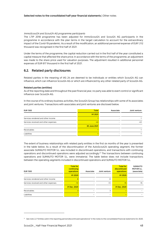#### ImmoScout24 and Scout24 AG programme participants

The LTIP 2018 programme has been adjusted for ImmoScout24 and Scout24 AG participants in the programme in accordance with the plan terms in the target calculation to account for the extraordinary impact of the Covid-19 pandemic. As a result of the modification, an additional personnel expense of EUR 1,112 thousand was recognised in the first half of 2021.

Under the terms of the programme, the capital reduction carried out in the first half of the year constituted a capital measure that affected the share price. In accordance with the terms of the programme, an adjustment was made to the share price used for valuation purposes. The adjustment resulted in additional personnel expenses of EUR 617 thousand in the first half of 2021.

#### **6.2. Related party disclosures**

Related parties in the meaning of IAS 24 are deemed to be individuals or entities which Scout24 AG can influence, which can influence Scout24 AG or which are influenced by any other related party of Scout24 AG.

#### **Related parties (entities)**

As of the reporting date and throughout the past financial year, no party was able to exert control or significant influence over Scout24 AG.

In the course of its ordinary business activities, the Scout24 Group has relationships with some of its associates and joint ventures. Transactions with associates and joint ventures are disclosed below.

| <b>EUR '000</b>                      | <b>Total</b>        | Associate | Joint venture |
|--------------------------------------|---------------------|-----------|---------------|
|                                      | H <sub>1</sub> 2021 |           |               |
| Services rendered and other income   |                     |           |               |
| Services received and other expenses | $-43$               |           | -43           |
|                                      | 30 June 2021        |           |               |
| Receivables                          |                     |           |               |
| Liabilities                          |                     |           |               |

The extent of business relationships with related party entities in the first six months of the year is presented in the table below. As a result of the discontinuation of the AutoScout24 operating segment, the former associate SUMAUTO MOTOR S.L. was included in discontinued operations, and transactions with continuing operations and discontinued operations were adjusted accordingly.<sup>21</sup> The transactions between continuing operations and SUMAUTO MOTOR S.L. were immaterial. The table below does not include transactions between the operating segments included in discontinued operations and SUMAUTO MOTOR S.L.

| <b>EUR '000</b>                      | <b>Total for</b><br>continuing<br>operations | Associate | Joint venture | <b>Total for</b><br>discontinued<br>operations | <b>SUMAUTO</b><br><b>MOTOR S.L.</b><br>(associate) |
|--------------------------------------|----------------------------------------------|-----------|---------------|------------------------------------------------|----------------------------------------------------|
|                                      | H <sub>1</sub> 2020                          |           |               | H <sub>1</sub> 2020                            |                                                    |
| Services rendered and other income   | $\mathsf{R}$                                 |           | 8             |                                                |                                                    |
| Services received and other expenses | $-72$                                        |           | $-72$         | $-15$                                          | $-15$                                              |
|                                      | 31 Dec. 2020                                 |           |               | 31 Dec. 2020                                   |                                                    |
| Receivables                          |                                              |           | 3             |                                                |                                                    |
| Liabilities                          |                                              |           |               |                                                |                                                    |

<sup>&</sup>lt;sup>21</sup> See note 2.2 "Entities sold in the reporting period (discontinued operations)" in the notes to the consolidated financial statements for 2020.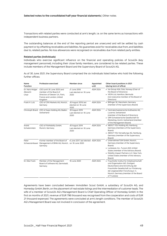Transactions with related parties were conducted at arm's length, i.e. on the same terms as transactions with independent business partners.

The outstanding balances at the end of the reporting period are unsecured and will be settled by cash payment or by offsetting receivables and liabilities. No guarantees exist for receivables due from, and liabilities due to, related parties. No loss allowances were recognised on receivables due from related party entities.

#### **Related parties (individuals)**

Individuals who exercise significant influence on the financial and operating policies of Scout24 (key management personnel), including their close family members, are considered to be related parties. These include members of the Management Board and the Supervisory Board of Scout24 AG.

As of 30 June 2021, the Supervisory Board comprised the six individuals listed below who hold the following further offices:

| Name<br><b>Function</b>              | <b>Profession exercised</b>                                                                                                        | Member since                                        | Appointed<br>until | Other board positions in 2021<br>(during term of office)                                                                                                                                                                                                         |
|--------------------------------------|------------------------------------------------------------------------------------------------------------------------------------|-----------------------------------------------------|--------------------|------------------------------------------------------------------------------------------------------------------------------------------------------------------------------------------------------------------------------------------------------------------|
| Dr. Hans-Holger<br>Albrecht<br>Chair | CEO (until 30 June 2021) and<br>member of the Board of<br>Directors of Deezer S.A., Paris,<br>France and London, United<br>Kingdom | 21 June 2018<br>Last elected on: 18 June<br>2020    | <b>AGM 2024</b>    | • Ice Group ASA, Oslo, Norway (Chair of<br>the Board of Directors)<br>• VEON Ltd, Hamilton, Bermuda<br>Inon-executive member of the Board of<br>Directors)                                                                                                       |
| Frank H. Lutz                        | CEO of CRX Markets AG, Munich,<br>Germany                                                                                          | 30 August 2019, last<br>elected on: 18 June<br>2020 | AGM 2024           | · Bilfinger SE, Mannheim, Germany<br>(member of the Supervisory Board)                                                                                                                                                                                           |
|                                      | Christoph Brand CEO of Axpo Holding AG, Baden,<br>Switzerland                                                                      | 30 August 2019<br>Last elected on: 18 June<br>2020  | <b>AGM 2024</b>    | • Centralschweizerische Kraftwerke AG.<br>Lucerne, Switzerland<br>(member of the Board of Directors)<br>• GfM Schweizerische Gesellschaft für<br>Marketing, Zurich, Switzerland (member<br>of the Management Board)                                              |
| André<br>Schwämmlein                 | CEO of FlixMobility GmbH,<br>Munich, Germany                                                                                       | 30 August 2019<br>Last elected on: 18 June<br>2020  | <b>AGM 2024</b>    | • ABOUT YOU Holding AG, Hamburg,<br>Germany (members of the Supervisory<br>Board)<br>• ABOUT YOU Verwaltungs AG, Hamburg,<br>Germany (member of the Supervisory<br>Board)                                                                                        |
| Peter                                | Former member of the Board of<br>Schwarzenbauer Management of BMW AG, Munich, on: 18 June 2020<br>Germany                          | 8 June 2017, last elected AGM 2024                  |                    | • UnternehmerTUM GmbH, Munich,<br>Germany (member of the Supervisory<br>Board)<br>• Lunewave, Inc., Tucson (AZ), United<br>States (member of the Advisory Board)<br>• Mobility Impact Partners LLC, New York,<br>United States (member of the Advisory<br>Board) |
| Dr. Elke Frank                       | Member of the Management<br>Board of Software AG, Darmstadt,<br>Germany                                                            | 18 June 2020                                        | <b>AGM 2024</b>    | • Fraunhofer-Institut für Arbeitswirtschaft<br>und Organisation IAO, Stuttgart,<br>Deutschland, eine Einrichtung der<br>Fraunhofer-Gesellschaft zur Förderung<br>der angewandten Forschung e.V.,<br>Munich, Germany (member of the Board<br>of Trustees)         |

Agreements have been concluded between Immobilien Scout GmbH, a subsidiary of Scout24 AG, and Homeday GmbH, Berlin, on the placement of real estate listings and the intermediation of customer leads. The wife of a member of Scout24 AG's Management Board is Chief Operating Officer of Homeday GmbH. In the first six months of 2021, revenue of EUR 796 thousand was recognised from the cooperation and costs of EUR 21 thousand expensed. The agreements were concluded at arm's length conditions. The member of Scout24 AG's Management Board was not involved in conclusion of the agreement.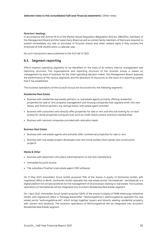#### **Directors' dealings**

In accordance with Article 19 (1) of the Market Abuse Regulation (Regulation (EU) No. 596/2014), members of the Management Board and the Supervisory Board as well as certain family members of theirs are required to publish immediately any sale or purchase of Scout24 shares and other related rights if they exceed the threshold of EUR 20,000 within a calendar year.

No such transactions were published in the first half of 2021.

#### **6.3. Segment reporting**

IFRS 8 requires operating segments to be identified on the basis of an entity's internal management and reporting structure. The organisational and reporting structure of the Scout24 Group is based on management by area of business. As the chief operating decision-maker, the Management Board assesses the performance of the various segments and the allocation of resources on the basis of a reporting system that it has established.

The business operations of the Scout24 Group are structured into the following segments:

#### **Residential Real Estate**

- Business with residential real estate partners, i.e. real estate agents primarily offering residential properties for sale or rent, property management and housing companies that regularly enter into new leases, and finance partners, e.g. savings banks, with estate agent activities
- Business with consumers who directly offer properties for sale or rent and who are looking for or have looked for rental properties (using services such as credit checks and/or premium membership).
- Business with removal companies provided with relocation leads.

#### **Business Real Estate**

- Business with real estate agents who primarily offer commercial properties for sale or rent.
- Business with real estate project developers and new home builders that market new construction projects.

#### **Media & Other**

- Business with advertisers who place advertisements on the IS24 marketplace
- ImmobilienScout24 Austria
- The subsidiary FlowFact (real estate agent CRM software)

On 11 May 2021, Immobilien Scout GmbH acquired 75% of the shares in equity of Zenhomes GmbH, with registered office in Berlin. Zenhomes GmbH operates the real estate portal "Vermietet.de". Vermietet.de is a digital platform for private landlords for the management of all processes relating to real estate. The business operations of Vermietet.de will be integrated into Scout24's Residential Real Estate segment.

On 1 April 2021, Immobilien Scout GmbH acquired 100% of the shares in equity of PWIB Wohnungs-Infobörse GmbH, with registered office in Planegg (hereinafter "Wohnungsbörse"). Wohnungsbörse operates the real estate portal "wohnungsbörse.net", which brings together buyers and tenants seeking residential property with owners and landlords. The business operations of Wohnungsbörse will be integrated into Scout24's Residential Real Estate segment.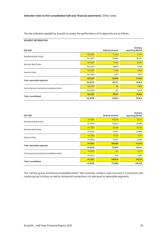The key indicators applied by Scout24 to assess the performance of its segments are as follows:

#### **SEGMENT INFORMATION**

| <b>EUR '000</b>                             | Ordinary<br><b>External revenue</b><br>operating EBITDA |        |          |  |
|---------------------------------------------|---------------------------------------------------------|--------|----------|--|
| <b>Residential Real Estate</b>              | Q <sub>2</sub> 2021                                     | 71,240 | 41,714   |  |
|                                             | Q2 2020                                                 | 59,860 | 38,240   |  |
| <b>Business Real Estate</b>                 | Q <sub>2</sub> 2021                                     | 17,021 | 12,374   |  |
|                                             | Q2 2020                                                 | 16,630 | 11,709   |  |
| Media & Other                               | Q <sub>2</sub> 2021                                     | 7,565  | 2,932    |  |
|                                             | Q2 2020                                                 | 7,257  | 2,973    |  |
| Total, reportable segments                  | Q2 2021                                                 | 95,826 | 57,020   |  |
|                                             | Q2 2020                                                 | 83,747 | 52,922   |  |
| Central group functions/consolidation/other | Q <sub>2</sub> 2021                                     | 86     | $-1,860$ |  |
|                                             | Q2 2020                                                 | 127    | $-2,578$ |  |
| Total, consolidated                         | Q2 2021                                                 | 95,911 | 55,160   |  |
|                                             | Q2 2020                                                 | 83,874 | 50,344   |  |

| <b>EUR '000</b>                             | Ordinary<br><b>External revenue</b><br>operating EBITDA |         |          |  |  |
|---------------------------------------------|---------------------------------------------------------|---------|----------|--|--|
| <b>Residential Real Estate</b>              | H <sub>1</sub> 2021                                     | 140,014 | 84,171   |  |  |
|                                             | H1 2020                                                 | 123,242 | 79,460   |  |  |
| <b>Business Real Estate</b>                 | H <sub>1</sub> 2021                                     | 34,259  | 24,762   |  |  |
|                                             | H1 2020                                                 | 34,547  | 24,898   |  |  |
| Media & Other                               | H <sub>1</sub> 2021                                     | 15,212  | 5,501    |  |  |
|                                             | H1 2020                                                 | 15,047  | 6,083    |  |  |
| Total, reportable segments                  | H1 2021                                                 | 189,485 | 114,433  |  |  |
|                                             | H1 2020                                                 | 172,835 | 110,441  |  |  |
| Central group functions/consolidation/other | H <sub>1</sub> 2021                                     | 191     | $-4,217$ |  |  |
|                                             | H1 2020                                                 | 150     | $-4,993$ |  |  |
| Total, consolidated                         | H1 2021                                                 | 189,676 | 110,216  |  |  |
|                                             | H1 2020                                                 | 172,985 | 105,448  |  |  |

The "central group functions/consolidation/other" item primarily contains costs incurred in connection with central group functions as well as immaterial transactions not allocated to reportable segments.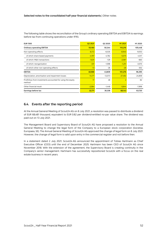| <b>EUR '000</b>                                                       | Q <sub>2</sub> 2021 | Q2 2020   | H <sub>1</sub> 2021 | H1 2020   |
|-----------------------------------------------------------------------|---------------------|-----------|---------------------|-----------|
| <b>Ordinary operating EBITDA</b>                                      | 55,160              | 50,344    | 110,216             | 105,448   |
| Non-operating effects                                                 | $-6,172$            | $-6,535$  | $-8,940$            | $-9,053$  |
| of which share-based payments                                         | $-4,197$            | $-4,782$  | $-5,575$            | $-4,517$  |
| of which: M&A transactions                                            | $-1,631$            | $-129$    | $-2,087$            | $-663$    |
| of which: reorganisation                                              | $-331$              | $-1,598$  | $-1,251$            | $-3,570$  |
| of which other non-operating effects                                  | $-13$               | $-26$     | $-26$               | $-302$    |
| <b>EBITDA</b>                                                         | 48,988              | 43,809    | 101,276             | 96,395    |
| Depreciation, amortisation and impairment losses                      | $-14,171$           | $-12,073$ | $-27,492$           | $-24,859$ |
| Profit/loss from investments accounted for using the equity<br>method | 17                  | 48        | $\overline{2}$      | 82        |
| Other financial result                                                | $-2,064$            | $-1,448$  | $-5,644$            | $-7,898$  |
| Earnings before tax                                                   | 32,771              | 30,336    | 68,143              | 63,720    |

The following table shows the reconciliation of the Group's ordinary operating EBITDA and EBITDA to earnings before tax from continuing operations under IFRS:

#### **6.4. Events after the reporting period**

At the Annual General Meeting of Scout24 AG on 8 July 2021, a resolution was passed to distribute a dividend of EUR 68,481 thousand, equivalent to EUR 0.82 per dividend-entitled no-par value share. The dividend was paid out on 13 July 2021.

The Management Board and Supervisory Board of Scout24 AG have proposed a resolution to the Annual General Meeting to change the legal form of the Company to a European stock corporation (Societas Europaea, SE). The Annual General Meeting of Scout24 AG approved the change of legal form on 8 July 2021. However, the change of legal form is valid upon entry in the commercial register and not before then.

In a statement dated 2 July 2021, Scout24 AG announced the appointment of Tobias Hartmann as Chief Executive Officer (CEO) until the end of December 2025. Hartmann has been CEO of Scout24 AG since November 2018. With the extension of the agreement, the Supervisory Board is creating continuity in the Company's senior management. Hartmann has successfully repositioned Scout24 with a focus on the real estate business in recent years.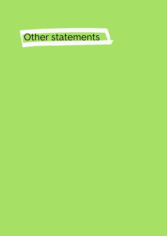<span id="page-52-0"></span>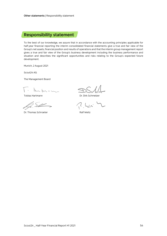# <span id="page-53-0"></span>**Responsibility statement**

To the best of our knowledge, we assure that in accordance with the accounting principles applicable for half-year financial reporting the interim consolidated financial statements give a true and fair view of the Group's net assets, financial position and results of operations and that the interim group management report gives a true and fair view of the Group's business development including the business performance and situation and describes the significant opportunities and risks relating to the Group's expected future development.

Munich, 2 August 2021

Scout24 AG

The Management Board

 $\sim$  -  $\sim$  -

lg. Sill

Dr. Thomas Schroeter **Ralf Weitz** 

Tobias Hartmann **Dr. Dirk Schmelzer**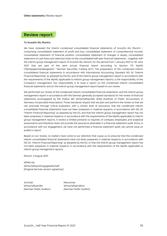### <span id="page-54-0"></span>**Review report**

#### **To Scout24 AG, Munich,**

We have reviewed the interim condensed consolidated financial statements of Scout24 AG, Munich – comprising consolidated statement of profit and loss, consolidated statement of comprehensive income, consolidated statement of financial position, consolidated statement of changes in equity, consolidated statement of cash flows and selected notes to the consolidated half-year financial statements – together with the interim group management report of Scout24 AG, Munich, for the period from 1 January 2021 to 30 June 2021 that are part of the semi annual financial report according to Section 115 WpHG ["Wertpapierhandelsgesetz": "German Securities Trading Act"]. The preparation of the condensed interim consolidated financial statements in accordance with International Accounting Standard IAS 34 "Interim Financial Reporting" as adopted by the EU, and of the interim group management report in accordance with the requirements of the WpHG applicable to interim group management reports, is the responsibility of the Company's management. Our responsibility is to issue a report on the condensed interim consolidated financial statements and on the interim group management report based on our review.

We performed our review of the condensed interim consolidated financial statements and the interim group management report in accordance with the German generally accepted standards for the review of financial statements promulgated by the Institut der Wirtschaftsprüfer (IDW) [Institute of Public Accountants in Germany Incoporated Association]. Those standards require that we plan and perform the review so that we can preclude through critical evaluation, with a certain level of assurance, that the condensed interim consolidated financial statements have not been prepared, in material respects, in accordance with IAS 34, "Interim Financial Reporting" as adopted by the EU, and that the interim group management report has not been prepared, in material respects, in accordance with the requirements of the WpHG applicable to interim group management reports. A review is limited primarily to inquiries of company employees and analytical assessments and therefore does not provide the assurance attainable in a financial statement audit. Since, in accordance with our engagement, we have not performed a financial statement audit, we cannot issue an auditor's report.

Based on our review, no matters have come to our attention that cause us to presume that the condensed interim consolidated financial statements have not been prepared, in material respects, in accordance with IAS 34, "Interim Financial Reporting" as adopted by the EU, or that the interim group management report has not been prepared, in material respects, in accordance with the requirements of the WpHG applicable to interim group management reports.

Munich, 3 August 2021

KPMG AG Wirtschaftsprüfungsgesellschaft [Original German version signed by:]

Schmidt Marschner Wirtschaftsprüfer Wirtschaftsprüferin

[German Public Auditor] [German Public Auditor]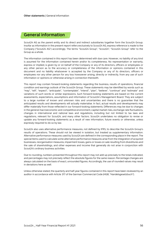# <span id="page-55-0"></span>**General information**

Scout24 AG as the parent entity and its direct and indirect subsidiaries together form the Scout24 Group. Insofar as information in the present report refers exclusively to Scout24 AG, express reference is made to the Company ("Scout24 AG") accordingly. The terms "Scout24 Group", "Scout24", "Scout24 Group" refer to the Group as a whole.

The information contained in this report has been determined with due care. However, no liability of any kind is assumed for the information contained herein and/or its completeness. No representation or warranty, express or implied, is given by or on behalf of the Company or any of its directors, officers or employees or any other person as to the accuracy or completeness of the information or opinions contained in this document and no liability whatsoever is accepted by the Company or any of its directors, officers or employees nor any other person for any loss howsoever arising, directly or indirectly, from any use of such information or opinions or otherwise arising in connection therewith.

This report may contain forward-looking statements regarding the business, results of operations, financial condition and earnings outlook of the Scout24 Group. These statements may be identified by words such as "may", "will", "expect", "anticipate", "contemplate", "intend", "plan", "believe", "continue" and "estimate" and variations of such words or similar expressions. Such forward-looking statements are based on the current assessments, expectations, assumptions and information of Scout24's Management Board. They are subject to a large number of known and unknown risks and uncertainties and there is no guarantee that the anticipated results and developments will actually materialise. In fact, actual results and developments may differ materially from those reflected in our forward-looking statements. Differences may be due to changes in the general macroeconomic and competitive environment, capital market risks, exchange rate fluctuations, changes in international and national laws and regulations, including but not limited to tax laws and regulations, relevant for Scout24, and many other factors. Scout24 undertakes no obligation to revise or update any forward-looking statements as a result of new information, future events or otherwise, unless expressly required to do so by law.

Scout24 also uses alternative performance measures, not defined by IFRS, to describe the Scout24 Group's results of operations. These should not be viewed in isolation, but treated as supplementary information. Alternative performance measures used by Scout24 are defined in the corresponding place in the report. The special items used to calculate some alternative performance measures arise from the integration of acquired businesses, reorganisation measures, impairment losses, gains or losses on sale resulting from divestitures and the sale of shareholdings, and other expenses and income that generally do not arise in conjunction with Scout24's ordinary business activities.

Due to rounding, numbers presented throughout this report may not add up precisely to the totals indicated, and percentages may not precisely reflect the absolute figures for the same reason. Percentage changes are always calculated on the basis of exact, unrounded figures. Accordingly, the use of rounded values may result in deviations here as well.

Unless otherwise stated, the quarterly and half-year figures contained in this report have been reviewed by an auditor in accordance with Article 317 of the German Commercial Code (HGB, "Handelsgesetzbuch").